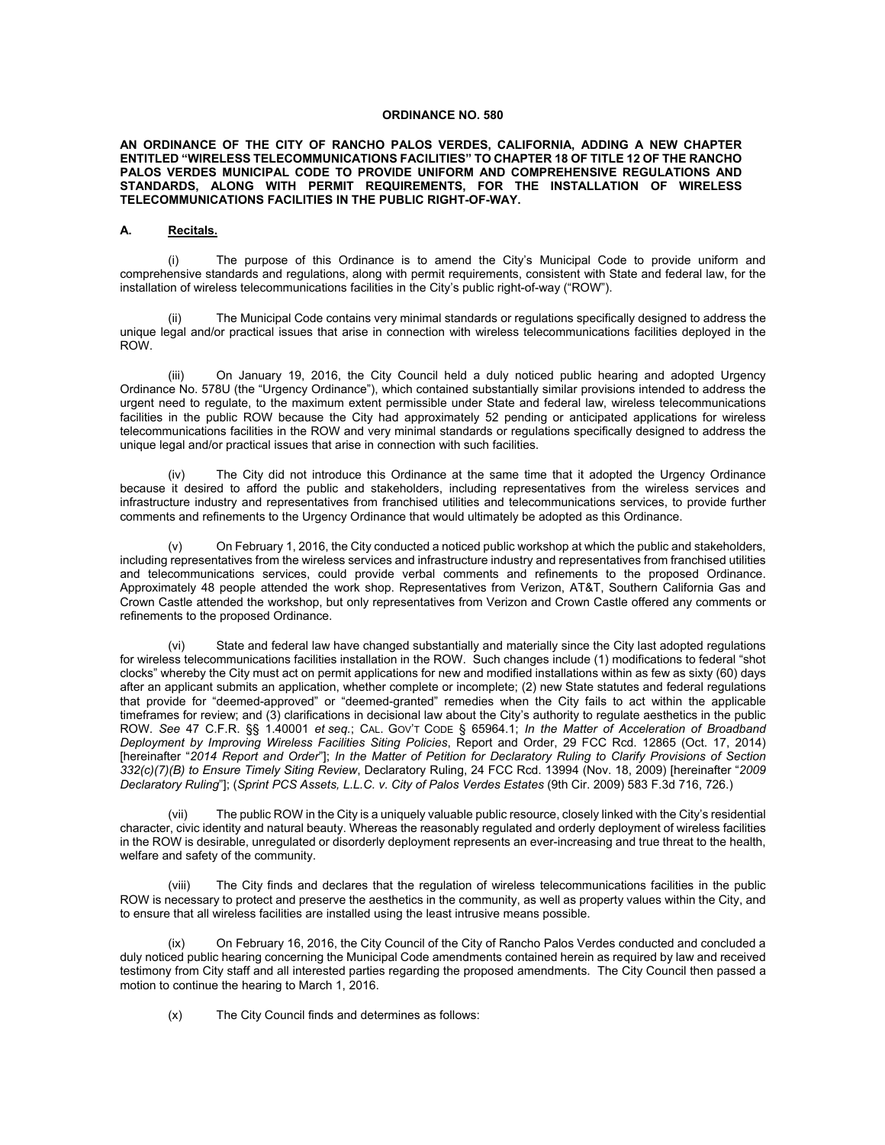#### **ORDINANCE NO. 580**

#### **AN ORDINANCE OF THE CITY OF RANCHO PALOS VERDES, CALIFORNIA, ADDING A NEW CHAPTER ENTITLED "WIRELESS TELECOMMUNICATIONS FACILITIES" TO CHAPTER 18 OF TITLE 12 OF THE RANCHO PALOS VERDES MUNICIPAL CODE TO PROVIDE UNIFORM AND COMPREHENSIVE REGULATIONS AND STANDARDS, ALONG WITH PERMIT REQUIREMENTS, FOR THE INSTALLATION OF WIRELESS TELECOMMUNICATIONS FACILITIES IN THE PUBLIC RIGHT-OF-WAY.**

#### **A. Recitals.**

(i) The purpose of this Ordinance is to amend the City's Municipal Code to provide uniform and comprehensive standards and regulations, along with permit requirements, consistent with State and federal law, for the installation of wireless telecommunications facilities in the City's public right-of-way ("ROW").

(ii) The Municipal Code contains very minimal standards or regulations specifically designed to address the unique legal and/or practical issues that arise in connection with wireless telecommunications facilities deployed in the ROW.

(iii) On January 19, 2016, the City Council held a duly noticed public hearing and adopted Urgency Ordinance No. 578U (the "Urgency Ordinance"), which contained substantially similar provisions intended to address the urgent need to regulate, to the maximum extent permissible under State and federal law, wireless telecommunications facilities in the public ROW because the City had approximately 52 pending or anticipated applications for wireless telecommunications facilities in the ROW and very minimal standards or regulations specifically designed to address the unique legal and/or practical issues that arise in connection with such facilities.

(iv) The City did not introduce this Ordinance at the same time that it adopted the Urgency Ordinance because it desired to afford the public and stakeholders, including representatives from the wireless services and infrastructure industry and representatives from franchised utilities and telecommunications services, to provide further comments and refinements to the Urgency Ordinance that would ultimately be adopted as this Ordinance.

On February 1, 2016, the City conducted a noticed public workshop at which the public and stakeholders, including representatives from the wireless services and infrastructure industry and representatives from franchised utilities and telecommunications services, could provide verbal comments and refinements to the proposed Ordinance. Approximately 48 people attended the work shop. Representatives from Verizon, AT&T, Southern California Gas and Crown Castle attended the workshop, but only representatives from Verizon and Crown Castle offered any comments or refinements to the proposed Ordinance.

(vi) State and federal law have changed substantially and materially since the City last adopted regulations for wireless telecommunications facilities installation in the ROW. Such changes include (1) modifications to federal "shot clocks" whereby the City must act on permit applications for new and modified installations within as few as sixty (60) days after an applicant submits an application, whether complete or incomplete; (2) new State statutes and federal regulations that provide for "deemed-approved" or "deemed-granted" remedies when the City fails to act within the applicable timeframes for review; and (3) clarifications in decisional law about the City's authority to regulate aesthetics in the public ROW. *See* 47 C.F.R. §§ 1.40001 *et seq.*; CAL. GOV'T CODE § 65964.1; *In the Matter of Acceleration of Broadband Deployment by Improving Wireless Facilities Siting Policies*, Report and Order, 29 FCC Rcd. 12865 (Oct. 17, 2014) [hereinafter "*2014 Report and Order*"]; *In the Matter of Petition for Declaratory Ruling to Clarify Provisions of Section 332(c)(7)(B) to Ensure Timely Siting Review*, Declaratory Ruling, 24 FCC Rcd. 13994 (Nov. 18, 2009) [hereinafter "*2009 Declaratory Ruling*"]; (*Sprint PCS Assets, L.L.C. v. City of Palos Verdes Estates* (9th Cir. 2009) 583 F.3d 716, 726.)

(vii) The public ROW in the City is a uniquely valuable public resource, closely linked with the City's residential character, civic identity and natural beauty. Whereas the reasonably regulated and orderly deployment of wireless facilities in the ROW is desirable, unregulated or disorderly deployment represents an ever-increasing and true threat to the health, welfare and safety of the community.

(viii) The City finds and declares that the regulation of wireless telecommunications facilities in the public ROW is necessary to protect and preserve the aesthetics in the community, as well as property values within the City, and to ensure that all wireless facilities are installed using the least intrusive means possible.

(ix) On February 16, 2016, the City Council of the City of Rancho Palos Verdes conducted and concluded a duly noticed public hearing concerning the Municipal Code amendments contained herein as required by law and received testimony from City staff and all interested parties regarding the proposed amendments. The City Council then passed a motion to continue the hearing to March 1, 2016.

(x) The City Council finds and determines as follows: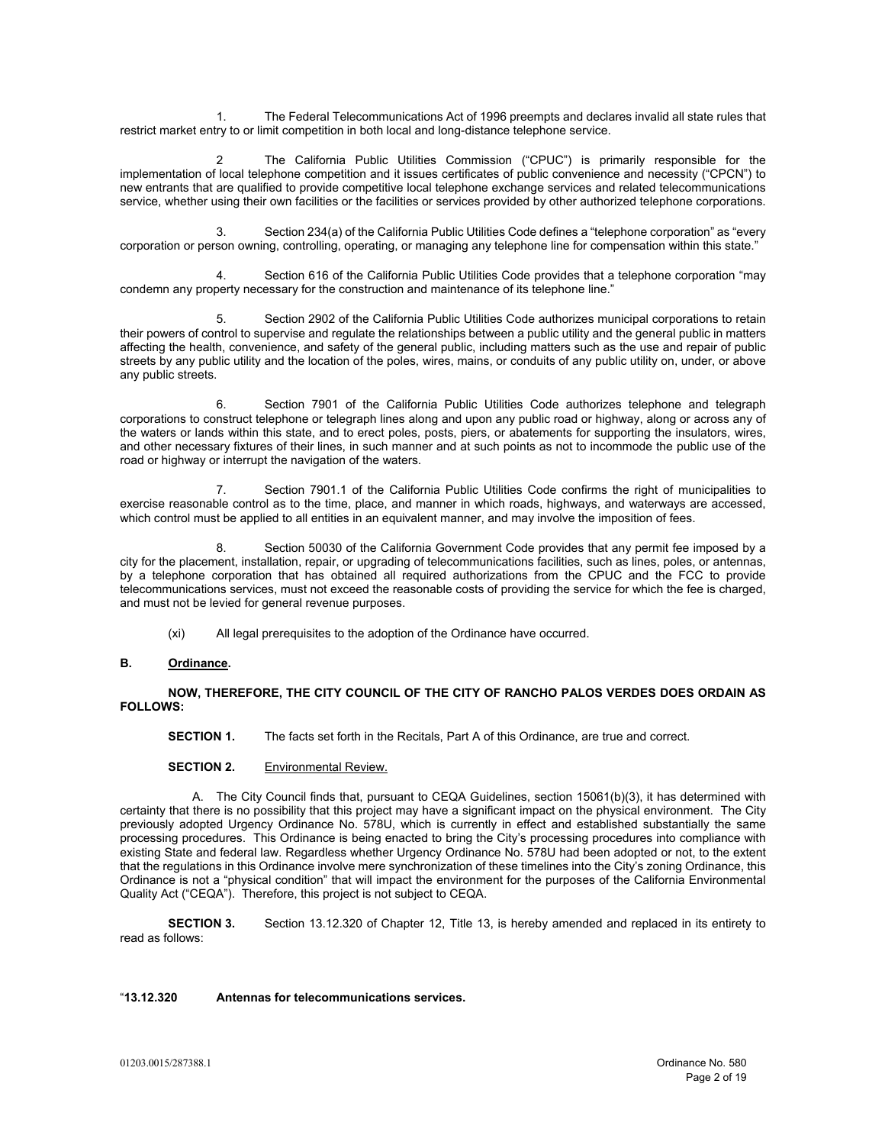1. The Federal Telecommunications Act of 1996 preempts and declares invalid all state rules that restrict market entry to or limit competition in both local and long-distance telephone service.

The California Public Utilities Commission ("CPUC") is primarily responsible for the implementation of local telephone competition and it issues certificates of public convenience and necessity ("CPCN") to new entrants that are qualified to provide competitive local telephone exchange services and related telecommunications service, whether using their own facilities or the facilities or services provided by other authorized telephone corporations.

3. Section 234(a) of the California Public Utilities Code defines a "telephone corporation" as "every corporation or person owning, controlling, operating, or managing any telephone line for compensation within this state."

4. Section 616 of the California Public Utilities Code provides that a telephone corporation "may condemn any property necessary for the construction and maintenance of its telephone line."

5. Section 2902 of the California Public Utilities Code authorizes municipal corporations to retain their powers of control to supervise and regulate the relationships between a public utility and the general public in matters affecting the health, convenience, and safety of the general public, including matters such as the use and repair of public streets by any public utility and the location of the poles, wires, mains, or conduits of any public utility on, under, or above any public streets.

6. Section 7901 of the California Public Utilities Code authorizes telephone and telegraph corporations to construct telephone or telegraph lines along and upon any public road or highway, along or across any of the waters or lands within this state, and to erect poles, posts, piers, or abatements for supporting the insulators, wires, and other necessary fixtures of their lines, in such manner and at such points as not to incommode the public use of the road or highway or interrupt the navigation of the waters.

7. Section 7901.1 of the California Public Utilities Code confirms the right of municipalities to exercise reasonable control as to the time, place, and manner in which roads, highways, and waterways are accessed, which control must be applied to all entities in an equivalent manner, and may involve the imposition of fees.

Section 50030 of the California Government Code provides that any permit fee imposed by a city for the placement, installation, repair, or upgrading of telecommunications facilities, such as lines, poles, or antennas, by a telephone corporation that has obtained all required authorizations from the CPUC and the FCC to provide telecommunications services, must not exceed the reasonable costs of providing the service for which the fee is charged, and must not be levied for general revenue purposes.

(xi) All legal prerequisites to the adoption of the Ordinance have occurred.

# **B. Ordinance.**

**NOW, THEREFORE, THE CITY COUNCIL OF THE CITY OF RANCHO PALOS VERDES DOES ORDAIN AS FOLLOWS:**

**SECTION 1.** The facts set forth in the Recitals, Part A of this Ordinance, are true and correct.

**SECTION 2.** Environmental Review.

A. The City Council finds that, pursuant to CEQA Guidelines, section 15061(b)(3), it has determined with certainty that there is no possibility that this project may have a significant impact on the physical environment. The City previously adopted Urgency Ordinance No. 578U, which is currently in effect and established substantially the same processing procedures. This Ordinance is being enacted to bring the City's processing procedures into compliance with existing State and federal law. Regardless whether Urgency Ordinance No. 578U had been adopted or not, to the extent that the regulations in this Ordinance involve mere synchronization of these timelines into the City's zoning Ordinance, this Ordinance is not a "physical condition" that will impact the environment for the purposes of the California Environmental Quality Act ("CEQA"). Therefore, this project is not subject to CEQA.

**SECTION 3.** Section 13.12.320 of Chapter 12, Title 13, is hereby amended and replaced in its entirety to read as follows:

# "**13.12.320 Antennas for telecommunications services.**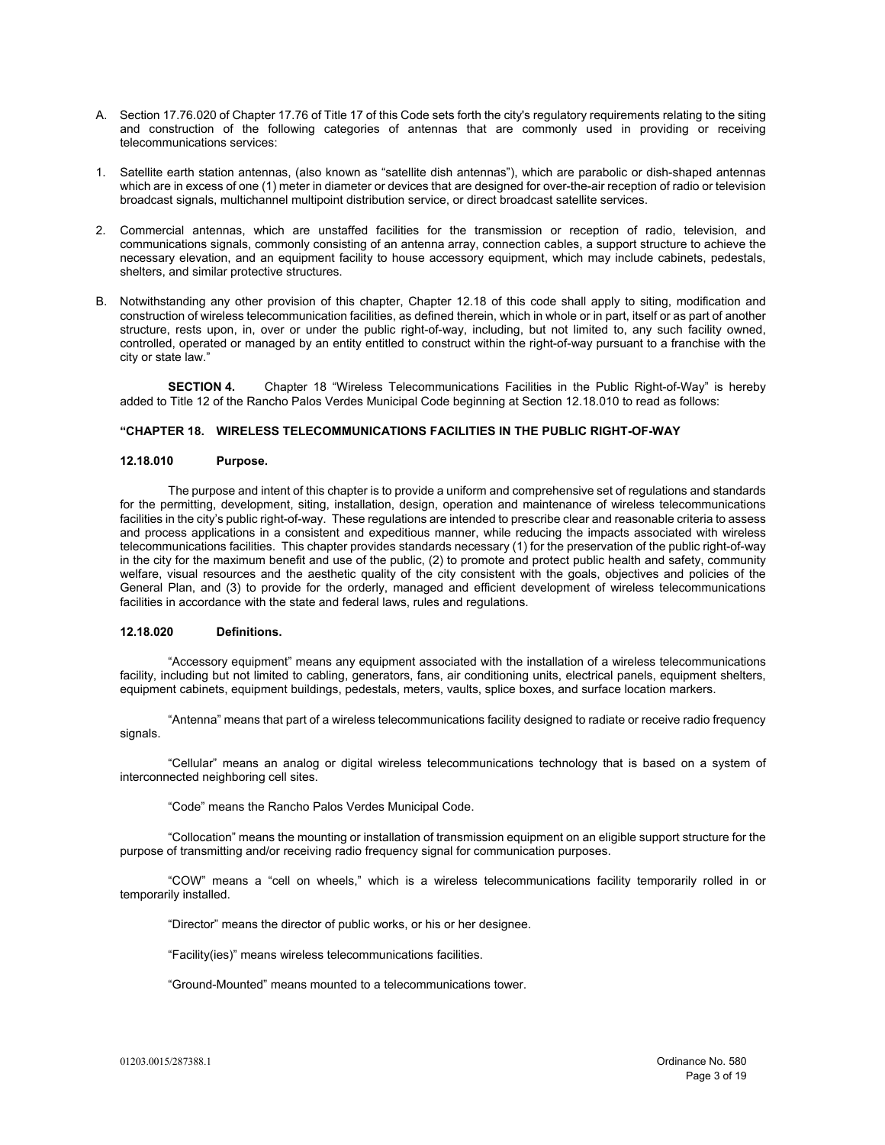- A. Section 17.76.020 of Chapter 17.76 of Title 17 of this Code sets forth the city's regulatory requirements relating to the siting and construction of the following categories of antennas that are commonly used in providing or receiving telecommunications services:
- 1. Satellite earth station antennas, (also known as "satellite dish antennas"), which are parabolic or dish-shaped antennas which are in excess of one (1) meter in diameter or devices that are designed for over-the-air reception of radio or television broadcast signals, multichannel multipoint distribution service, or direct broadcast satellite services.
- 2. Commercial antennas, which are unstaffed facilities for the transmission or reception of radio, television, and communications signals, commonly consisting of an antenna array, connection cables, a support structure to achieve the necessary elevation, and an equipment facility to house accessory equipment, which may include cabinets, pedestals, shelters, and similar protective structures.
- B. Notwithstanding any other provision of this chapter, Chapter 12.18 of this code shall apply to siting, modification and construction of wireless telecommunication facilities, as defined therein, which in whole or in part, itself or as part of another structure, rests upon, in, over or under the public right-of-way, including, but not limited to, any such facility owned, controlled, operated or managed by an entity entitled to construct within the right-of-way pursuant to a franchise with the city or state law."

**SECTION 4.** Chapter 18 "Wireless Telecommunications Facilities in the Public Right-of-Way" is hereby added to Title 12 of the Rancho Palos Verdes Municipal Code beginning at Section 12.18.010 to read as follows:

#### **"CHAPTER 18. WIRELESS TELECOMMUNICATIONS FACILITIES IN THE PUBLIC RIGHT-OF-WAY**

#### **12.18.010 Purpose.**

The purpose and intent of this chapter is to provide a uniform and comprehensive set of regulations and standards for the permitting, development, siting, installation, design, operation and maintenance of wireless telecommunications facilities in the city's public right-of-way. These regulations are intended to prescribe clear and reasonable criteria to assess and process applications in a consistent and expeditious manner, while reducing the impacts associated with wireless telecommunications facilities. This chapter provides standards necessary (1) for the preservation of the public right-of-way in the city for the maximum benefit and use of the public, (2) to promote and protect public health and safety, community welfare, visual resources and the aesthetic quality of the city consistent with the goals, objectives and policies of the General Plan, and (3) to provide for the orderly, managed and efficient development of wireless telecommunications facilities in accordance with the state and federal laws, rules and regulations.

# **12.18.020 Definitions.**

"Accessory equipment" means any equipment associated with the installation of a wireless telecommunications facility, including but not limited to cabling, generators, fans, air conditioning units, electrical panels, equipment shelters, equipment cabinets, equipment buildings, pedestals, meters, vaults, splice boxes, and surface location markers.

"Antenna" means that part of a wireless telecommunications facility designed to radiate or receive radio frequency signals.

"Cellular" means an analog or digital wireless telecommunications technology that is based on a system of interconnected neighboring cell sites.

"Code" means the Rancho Palos Verdes Municipal Code.

"Collocation" means the mounting or installation of transmission equipment on an eligible support structure for the purpose of transmitting and/or receiving radio frequency signal for communication purposes.

"COW" means a "cell on wheels," which is a wireless telecommunications facility temporarily rolled in or temporarily installed.

"Director" means the director of public works, or his or her designee.

"Facility(ies)" means wireless telecommunications facilities.

"Ground-Mounted" means mounted to a telecommunications tower.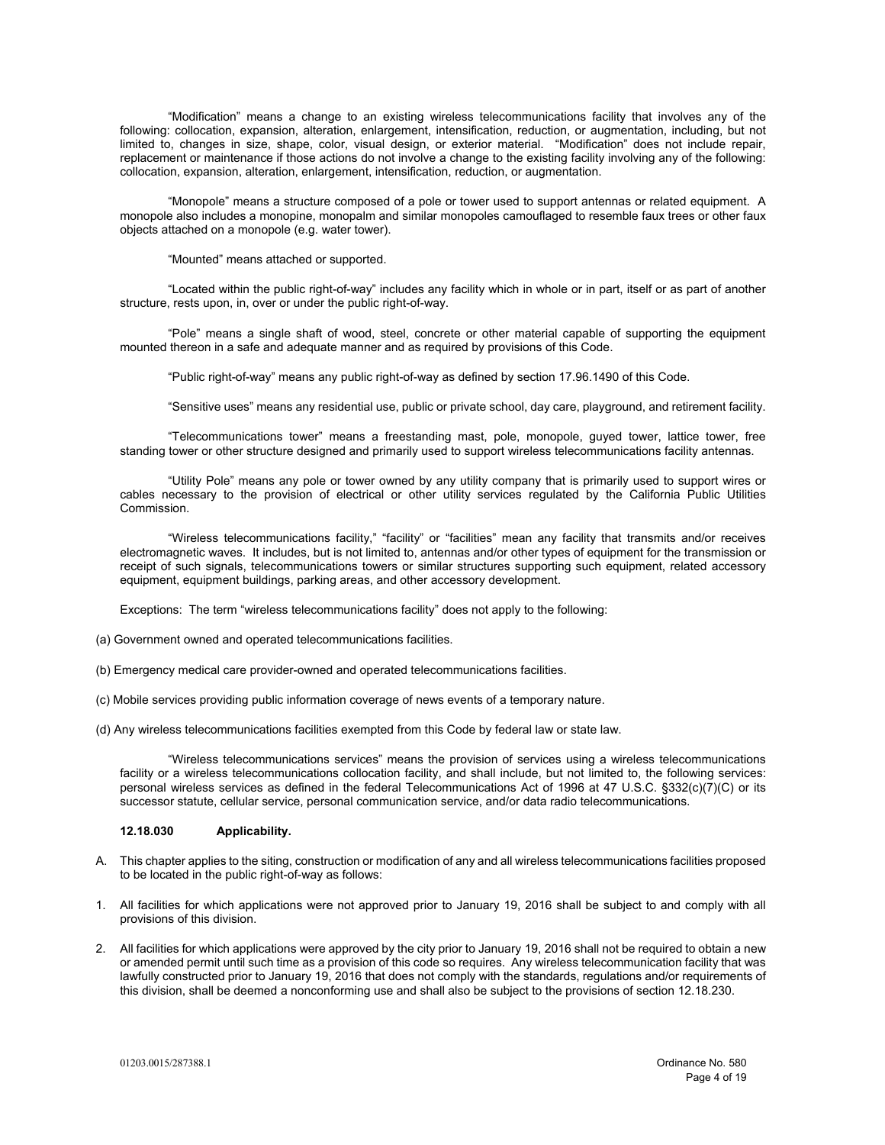"Modification" means a change to an existing wireless telecommunications facility that involves any of the following: collocation, expansion, alteration, enlargement, intensification, reduction, or augmentation, including, but not limited to, changes in size, shape, color, visual design, or exterior material. "Modification" does not include repair, replacement or maintenance if those actions do not involve a change to the existing facility involving any of the following: collocation, expansion, alteration, enlargement, intensification, reduction, or augmentation.

"Monopole" means a structure composed of a pole or tower used to support antennas or related equipment. A monopole also includes a monopine, monopalm and similar monopoles camouflaged to resemble faux trees or other faux objects attached on a monopole (e.g. water tower).

"Mounted" means attached or supported.

"Located within the public right-of-way" includes any facility which in whole or in part, itself or as part of another structure, rests upon, in, over or under the public right-of-way.

"Pole" means a single shaft of wood, steel, concrete or other material capable of supporting the equipment mounted thereon in a safe and adequate manner and as required by provisions of this Code.

"Public right-of-way" means any public right-of-way as defined by section 17.96.1490 of this Code.

"Sensitive uses" means any residential use, public or private school, day care, playground, and retirement facility.

"Telecommunications tower" means a freestanding mast, pole, monopole, guyed tower, lattice tower, free standing tower or other structure designed and primarily used to support wireless telecommunications facility antennas.

"Utility Pole" means any pole or tower owned by any utility company that is primarily used to support wires or cables necessary to the provision of electrical or other utility services regulated by the California Public Utilities Commission.

"Wireless telecommunications facility," "facility" or "facilities" mean any facility that transmits and/or receives electromagnetic waves. It includes, but is not limited to, antennas and/or other types of equipment for the transmission or receipt of such signals, telecommunications towers or similar structures supporting such equipment, related accessory equipment, equipment buildings, parking areas, and other accessory development.

Exceptions: The term "wireless telecommunications facility" does not apply to the following:

(a) Government owned and operated telecommunications facilities.

- (b) Emergency medical care provider-owned and operated telecommunications facilities.
- (c) Mobile services providing public information coverage of news events of a temporary nature.
- (d) Any wireless telecommunications facilities exempted from this Code by federal law or state law.

"Wireless telecommunications services" means the provision of services using a wireless telecommunications facility or a wireless telecommunications collocation facility, and shall include, but not limited to, the following services: personal wireless services as defined in the federal Telecommunications Act of 1996 at 47 U.S.C. §332(c)( $\bar{7}$ )(C) or its successor statute, cellular service, personal communication service, and/or data radio telecommunications.

## **12.18.030 Applicability.**

- A. This chapter applies to the siting, construction or modification of any and all wireless telecommunications facilities proposed to be located in the public right-of-way as follows:
- 1. All facilities for which applications were not approved prior to January 19, 2016 shall be subject to and comply with all provisions of this division.
- 2. All facilities for which applications were approved by the city prior to January 19, 2016 shall not be required to obtain a new or amended permit until such time as a provision of this code so requires. Any wireless telecommunication facility that was lawfully constructed prior to January 19, 2016 that does not comply with the standards, regulations and/or requirements of this division, shall be deemed a nonconforming use and shall also be subject to the provisions of section 12.18.230.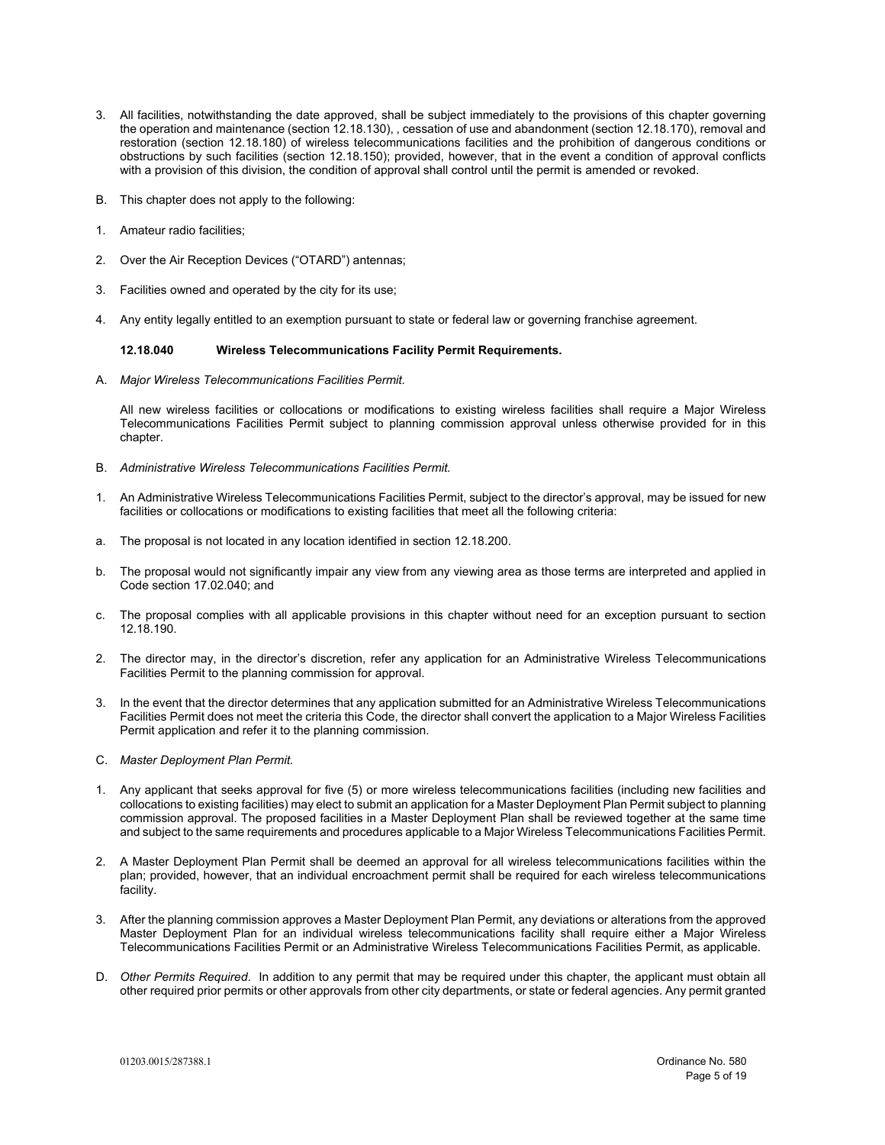- 3. All facilities, notwithstanding the date approved, shall be subject immediately to the provisions of this chapter governing the operation and maintenance (section 12.18.130), , cessation of use and abandonment (section 12.18.170), removal and restoration (section 12.18.180) of wireless telecommunications facilities and the prohibition of dangerous conditions or obstructions by such facilities (section 12.18.150); provided, however, that in the event a condition of approval conflicts with a provision of this division, the condition of approval shall control until the permit is amended or revoked.
- B. This chapter does not apply to the following:
- 1. Amateur radio facilities;
- 2. Over the Air Reception Devices ("OTARD") antennas;
- 3. Facilities owned and operated by the city for its use;
- 4. Any entity legally entitled to an exemption pursuant to state or federal law or governing franchise agreement.

#### **12.18.040 Wireless Telecommunications Facility Permit Requirements.**

A. *Major Wireless Telecommunications Facilities Permit.* 

All new wireless facilities or collocations or modifications to existing wireless facilities shall require a Major Wireless Telecommunications Facilities Permit subject to planning commission approval unless otherwise provided for in this chapter.

- B. *Administrative Wireless Telecommunications Facilities Permit.*
- 1. An Administrative Wireless Telecommunications Facilities Permit, subject to the director's approval, may be issued for new facilities or collocations or modifications to existing facilities that meet all the following criteria:
- a. The proposal is not located in any location identified in section 12.18.200.
- b. The proposal would not significantly impair any view from any viewing area as those terms are interpreted and applied in Code section 17.02.040; and
- c. The proposal complies with all applicable provisions in this chapter without need for an exception pursuant to section 12.18.190.
- 2. The director may, in the director's discretion, refer any application for an Administrative Wireless Telecommunications Facilities Permit to the planning commission for approval.
- 3. In the event that the director determines that any application submitted for an Administrative Wireless Telecommunications Facilities Permit does not meet the criteria this Code, the director shall convert the application to a Major Wireless Facilities Permit application and refer it to the planning commission.
- C. *Master Deployment Plan Permit.*
- 1. Any applicant that seeks approval for five (5) or more wireless telecommunications facilities (including new facilities and collocations to existing facilities) may elect to submit an application for a Master Deployment Plan Permit subject to planning commission approval. The proposed facilities in a Master Deployment Plan shall be reviewed together at the same time and subject to the same requirements and procedures applicable to a Major Wireless Telecommunications Facilities Permit.
- 2. A Master Deployment Plan Permit shall be deemed an approval for all wireless telecommunications facilities within the plan; provided, however, that an individual encroachment permit shall be required for each wireless telecommunications facility.
- 3. After the planning commission approves a Master Deployment Plan Permit, any deviations or alterations from the approved Master Deployment Plan for an individual wireless telecommunications facility shall require either a Major Wireless Telecommunications Facilities Permit or an Administrative Wireless Telecommunications Facilities Permit, as applicable.
- D. *Other Permits Required*. In addition to any permit that may be required under this chapter, the applicant must obtain all other required prior permits or other approvals from other city departments, or state or federal agencies. Any permit granted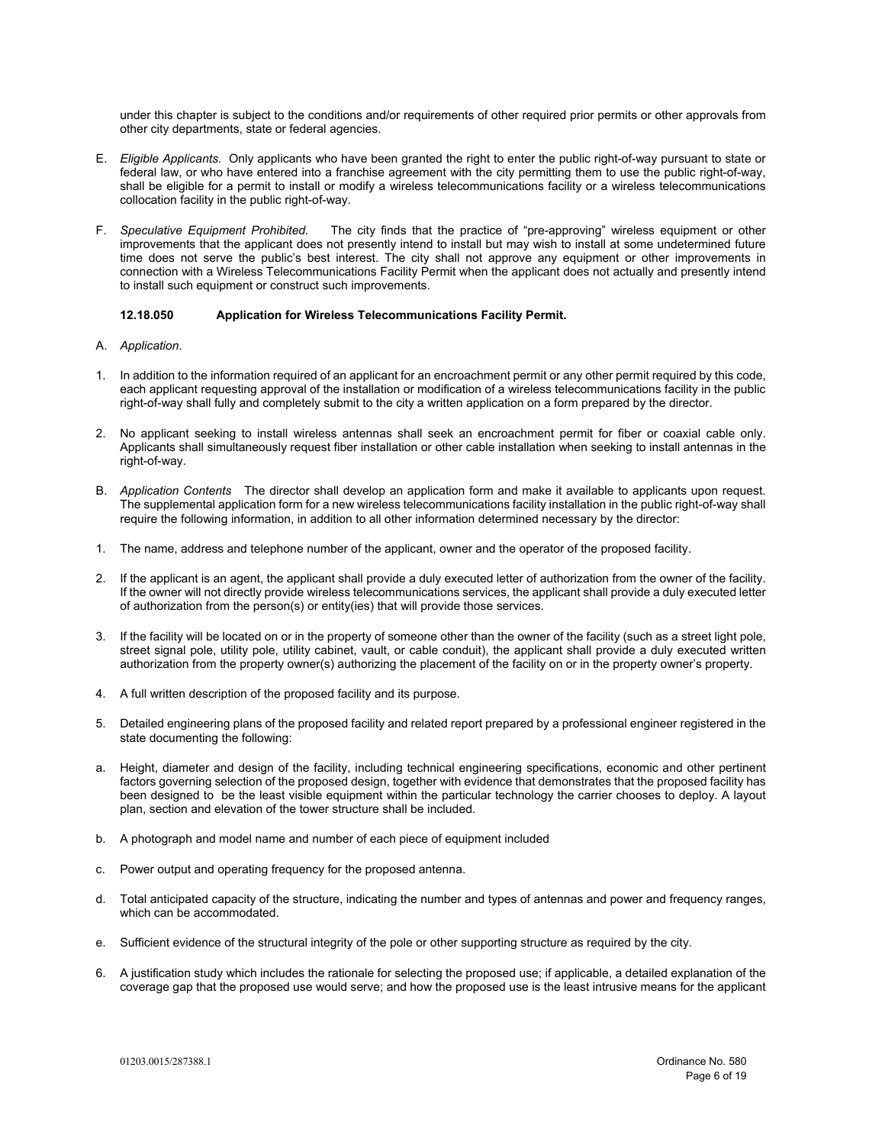under this chapter is subject to the conditions and/or requirements of other required prior permits or other approvals from other city departments, state or federal agencies.

- E. *Eligible Applicants.* Only applicants who have been granted the right to enter the public right-of-way pursuant to state or federal law, or who have entered into a franchise agreement with the city permitting them to use the public right-of-way. shall be eligible for a permit to install or modify a wireless telecommunications facility or a wireless telecommunications collocation facility in the public right-of-way.
- F. *Speculative Equipment Prohibited.* The city finds that the practice of "pre-approving" wireless equipment or other improvements that the applicant does not presently intend to install but may wish to install at some undetermined future time does not serve the public's best interest. The city shall not approve any equipment or other improvements in connection with a Wireless Telecommunications Facility Permit when the applicant does not actually and presently intend to install such equipment or construct such improvements.

#### **12.18.050 Application for Wireless Telecommunications Facility Permit.**

- A. *Application*.
- 1. In addition to the information required of an applicant for an encroachment permit or any other permit required by this code, each applicant requesting approval of the installation or modification of a wireless telecommunications facility in the public right-of-way shall fully and completely submit to the city a written application on a form prepared by the director.
- 2. No applicant seeking to install wireless antennas shall seek an encroachment permit for fiber or coaxial cable only. Applicants shall simultaneously request fiber installation or other cable installation when seeking to install antennas in the right-of-way.
- B. *Application Contents* The director shall develop an application form and make it available to applicants upon request. The supplemental application form for a new wireless telecommunications facility installation in the public right-of-way shall require the following information, in addition to all other information determined necessary by the director:
- 1. The name, address and telephone number of the applicant, owner and the operator of the proposed facility.
- 2. If the applicant is an agent, the applicant shall provide a duly executed letter of authorization from the owner of the facility. If the owner will not directly provide wireless telecommunications services, the applicant shall provide a duly executed letter of authorization from the person(s) or entity(ies) that will provide those services.
- 3. If the facility will be located on or in the property of someone other than the owner of the facility (such as a street light pole, street signal pole, utility pole, utility cabinet, vault, or cable conduit), the applicant shall provide a duly executed written authorization from the property owner(s) authorizing the placement of the facility on or in the property owner's property.
- 4. A full written description of the proposed facility and its purpose.
- 5. Detailed engineering plans of the proposed facility and related report prepared by a professional engineer registered in the state documenting the following:
- a. Height, diameter and design of the facility, including technical engineering specifications, economic and other pertinent factors governing selection of the proposed design, together with evidence that demonstrates that the proposed facility has been designed to be the least visible equipment within the particular technology the carrier chooses to deploy. A layout plan, section and elevation of the tower structure shall be included.
- b. A photograph and model name and number of each piece of equipment included
- c. Power output and operating frequency for the proposed antenna.
- d. Total anticipated capacity of the structure, indicating the number and types of antennas and power and frequency ranges, which can be accommodated.
- e. Sufficient evidence of the structural integrity of the pole or other supporting structure as required by the city.
- 6. A justification study which includes the rationale for selecting the proposed use; if applicable, a detailed explanation of the coverage gap that the proposed use would serve; and how the proposed use is the least intrusive means for the applicant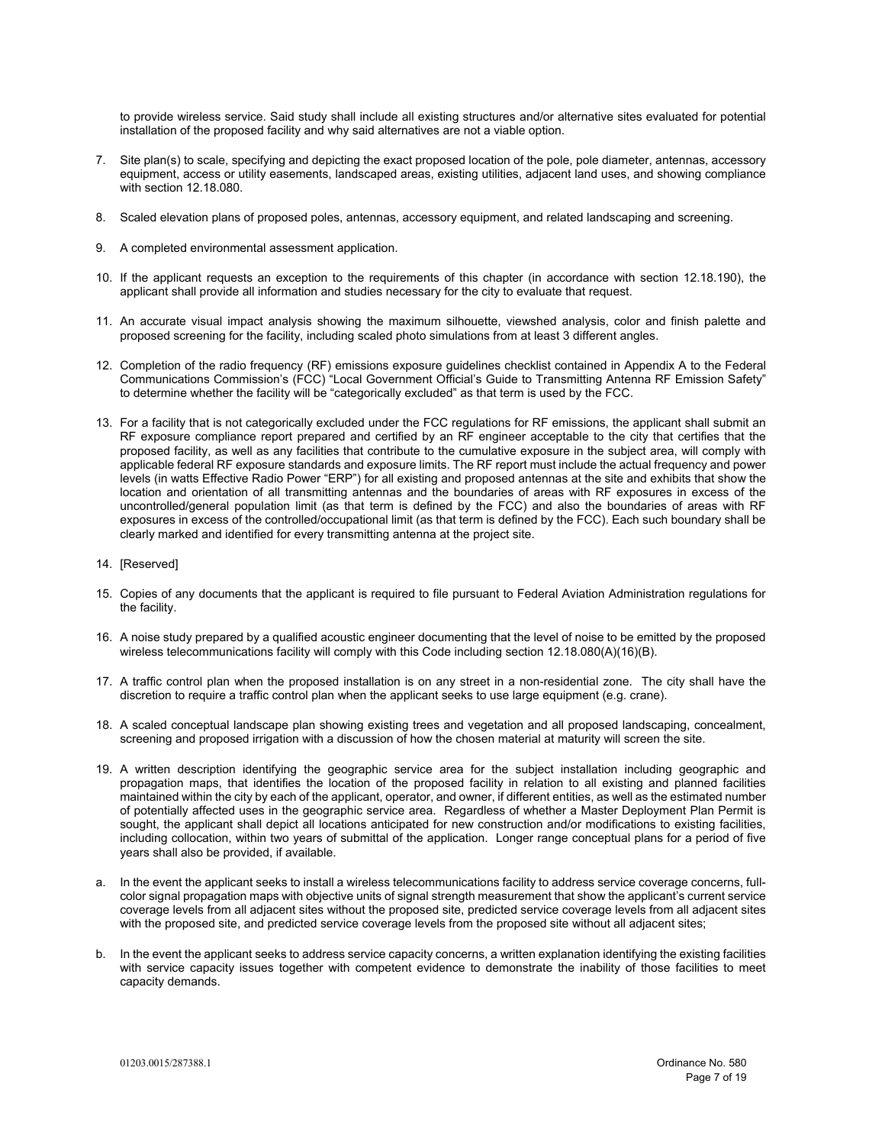to provide wireless service. Said study shall include all existing structures and/or alternative sites evaluated for potential installation of the proposed facility and why said alternatives are not a viable option.

- 7. Site plan(s) to scale, specifying and depicting the exact proposed location of the pole, pole diameter, antennas, accessory equipment, access or utility easements, landscaped areas, existing utilities, adjacent land uses, and showing compliance with section 12.18.080.
- 8. Scaled elevation plans of proposed poles, antennas, accessory equipment, and related landscaping and screening.
- 9. A completed environmental assessment application.
- 10. If the applicant requests an exception to the requirements of this chapter (in accordance with section 12.18.190), the applicant shall provide all information and studies necessary for the city to evaluate that request.
- 11. An accurate visual impact analysis showing the maximum silhouette, viewshed analysis, color and finish palette and proposed screening for the facility, including scaled photo simulations from at least 3 different angles.
- 12. Completion of the radio frequency (RF) emissions exposure guidelines checklist contained in Appendix A to the Federal Communications Commission's (FCC) "Local Government Official's Guide to Transmitting Antenna RF Emission Safety" to determine whether the facility will be "categorically excluded" as that term is used by the FCC.
- 13. For a facility that is not categorically excluded under the FCC regulations for RF emissions, the applicant shall submit an RF exposure compliance report prepared and certified by an RF engineer acceptable to the city that certifies that the proposed facility, as well as any facilities that contribute to the cumulative exposure in the subject area, will comply with applicable federal RF exposure standards and exposure limits. The RF report must include the actual frequency and power levels (in watts Effective Radio Power "ERP") for all existing and proposed antennas at the site and exhibits that show the location and orientation of all transmitting antennas and the boundaries of areas with RF exposures in excess of the uncontrolled/general population limit (as that term is defined by the FCC) and also the boundaries of areas with RF exposures in excess of the controlled/occupational limit (as that term is defined by the FCC). Each such boundary shall be clearly marked and identified for every transmitting antenna at the project site.
- 14. [Reserved]
- 15. Copies of any documents that the applicant is required to file pursuant to Federal Aviation Administration regulations for the facility.
- 16. A noise study prepared by a qualified acoustic engineer documenting that the level of noise to be emitted by the proposed wireless telecommunications facility will comply with this Code including section 12.18.080(A)(16)(B).
- 17. A traffic control plan when the proposed installation is on any street in a non-residential zone. The city shall have the discretion to require a traffic control plan when the applicant seeks to use large equipment (e.g. crane).
- 18. A scaled conceptual landscape plan showing existing trees and vegetation and all proposed landscaping, concealment, screening and proposed irrigation with a discussion of how the chosen material at maturity will screen the site.
- 19. A written description identifying the geographic service area for the subject installation including geographic and propagation maps, that identifies the location of the proposed facility in relation to all existing and planned facilities maintained within the city by each of the applicant, operator, and owner, if different entities, as well as the estimated number of potentially affected uses in the geographic service area. Regardless of whether a Master Deployment Plan Permit is sought, the applicant shall depict all locations anticipated for new construction and/or modifications to existing facilities, including collocation, within two years of submittal of the application. Longer range conceptual plans for a period of five years shall also be provided, if available.
- a. In the event the applicant seeks to install a wireless telecommunications facility to address service coverage concerns, fullcolor signal propagation maps with objective units of signal strength measurement that show the applicant's current service coverage levels from all adjacent sites without the proposed site, predicted service coverage levels from all adjacent sites with the proposed site, and predicted service coverage levels from the proposed site without all adjacent sites;
- b. In the event the applicant seeks to address service capacity concerns, a written explanation identifying the existing facilities with service capacity issues together with competent evidence to demonstrate the inability of those facilities to meet capacity demands.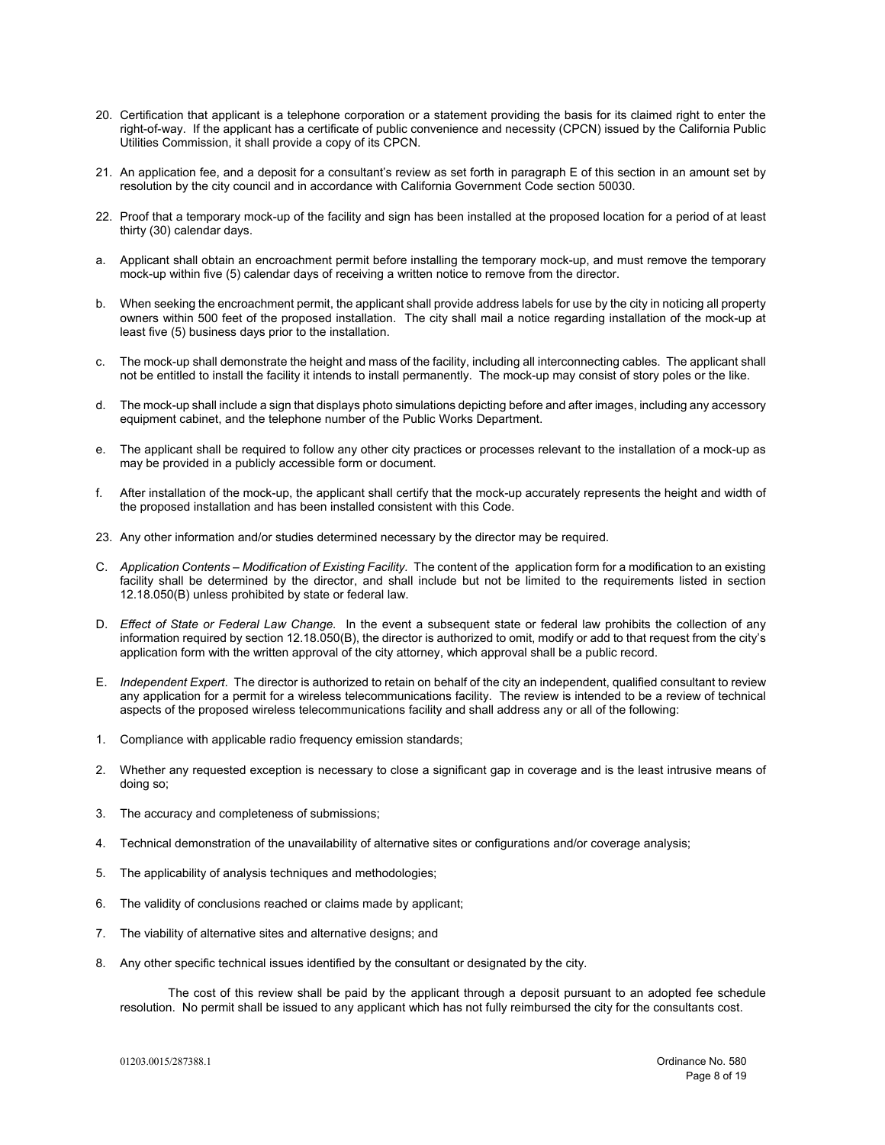- 20. Certification that applicant is a telephone corporation or a statement providing the basis for its claimed right to enter the right-of-way. If the applicant has a certificate of public convenience and necessity (CPCN) issued by the California Public Utilities Commission, it shall provide a copy of its CPCN.
- 21. An application fee, and a deposit for a consultant's review as set forth in paragraph E of this section in an amount set by resolution by the city council and in accordance with California Government Code section 50030.
- 22. Proof that a temporary mock-up of the facility and sign has been installed at the proposed location for a period of at least thirty (30) calendar days.
- a. Applicant shall obtain an encroachment permit before installing the temporary mock-up, and must remove the temporary mock-up within five (5) calendar days of receiving a written notice to remove from the director.
- b. When seeking the encroachment permit, the applicant shall provide address labels for use by the city in noticing all property owners within 500 feet of the proposed installation. The city shall mail a notice regarding installation of the mock-up at least five (5) business days prior to the installation.
- c. The mock-up shall demonstrate the height and mass of the facility, including all interconnecting cables. The applicant shall not be entitled to install the facility it intends to install permanently. The mock-up may consist of story poles or the like.
- d. The mock-up shall include a sign that displays photo simulations depicting before and after images, including any accessory equipment cabinet, and the telephone number of the Public Works Department.
- e. The applicant shall be required to follow any other city practices or processes relevant to the installation of a mock-up as may be provided in a publicly accessible form or document.
- f. After installation of the mock-up, the applicant shall certify that the mock-up accurately represents the height and width of the proposed installation and has been installed consistent with this Code.
- 23. Any other information and/or studies determined necessary by the director may be required.
- C. *Application Contents Modification of Existing Facility.* The content of the application form for a modification to an existing facility shall be determined by the director, and shall include but not be limited to the requirements listed in section 12.18.050(B) unless prohibited by state or federal law.
- D. *Effect of State or Federal Law Change.* In the event a subsequent state or federal law prohibits the collection of any information required by section 12.18.050(B), the director is authorized to omit, modify or add to that request from the city's application form with the written approval of the city attorney, which approval shall be a public record.
- E. *Independent Expert*. The director is authorized to retain on behalf of the city an independent, qualified consultant to review any application for a permit for a wireless telecommunications facility. The review is intended to be a review of technical aspects of the proposed wireless telecommunications facility and shall address any or all of the following:
- 1. Compliance with applicable radio frequency emission standards;
- 2. Whether any requested exception is necessary to close a significant gap in coverage and is the least intrusive means of doing so;
- 3. The accuracy and completeness of submissions;
- 4. Technical demonstration of the unavailability of alternative sites or configurations and/or coverage analysis;
- 5. The applicability of analysis techniques and methodologies;
- 6. The validity of conclusions reached or claims made by applicant;
- 7. The viability of alternative sites and alternative designs; and
- 8. Any other specific technical issues identified by the consultant or designated by the city.

The cost of this review shall be paid by the applicant through a deposit pursuant to an adopted fee schedule resolution. No permit shall be issued to any applicant which has not fully reimbursed the city for the consultants cost.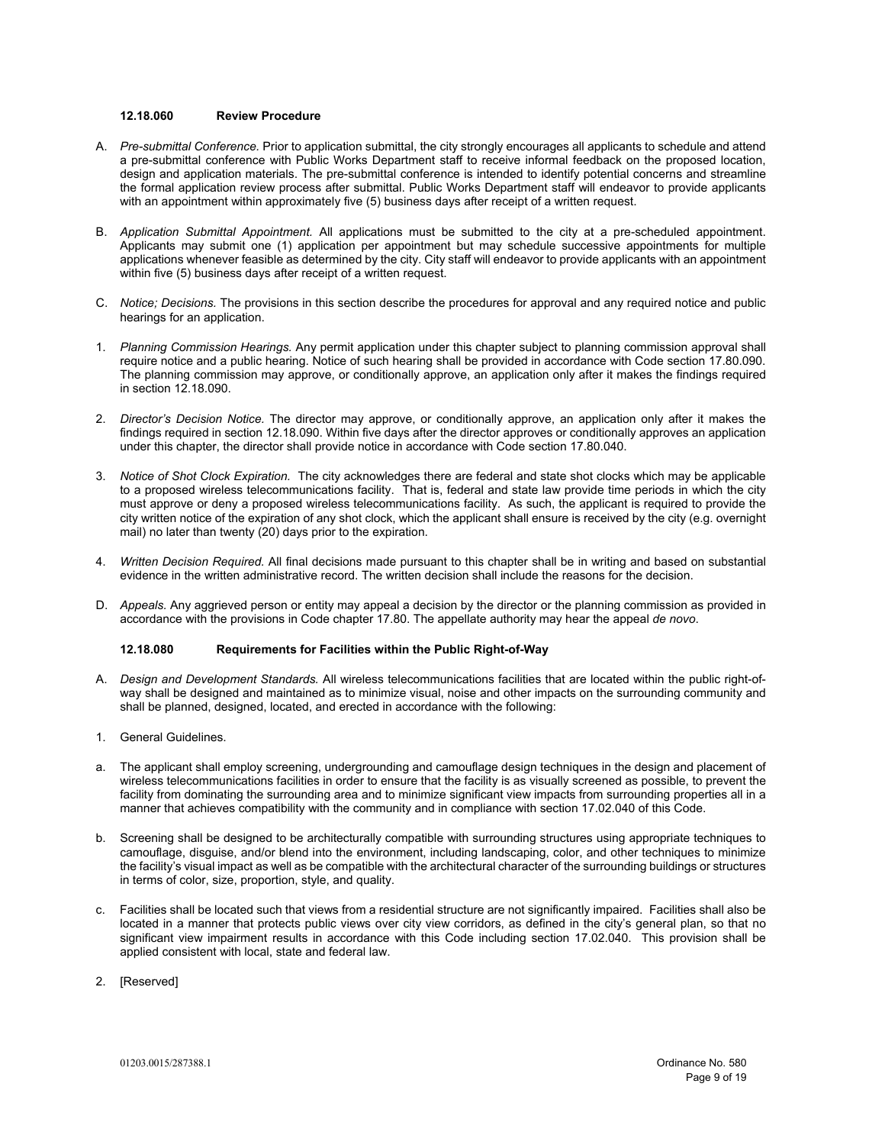#### **12.18.060 Review Procedure**

- A. *Pre-submittal Conference.* Prior to application submittal, the city strongly encourages all applicants to schedule and attend a pre-submittal conference with Public Works Department staff to receive informal feedback on the proposed location, design and application materials. The pre-submittal conference is intended to identify potential concerns and streamline the formal application review process after submittal. Public Works Department staff will endeavor to provide applicants with an appointment within approximately five (5) business days after receipt of a written request.
- B. *Application Submittal Appointment.* All applications must be submitted to the city at a pre-scheduled appointment. Applicants may submit one (1) application per appointment but may schedule successive appointments for multiple applications whenever feasible as determined by the city. City staff will endeavor to provide applicants with an appointment within five (5) business days after receipt of a written request.
- C. *Notice; Decisions.* The provisions in this section describe the procedures for approval and any required notice and public hearings for an application.
- 1. *Planning Commission Hearings.* Any permit application under this chapter subject to planning commission approval shall require notice and a public hearing. Notice of such hearing shall be provided in accordance with Code section 17.80.090. The planning commission may approve, or conditionally approve, an application only after it makes the findings required in section 12.18.090.
- 2. *Director's Decision Notice.* The director may approve, or conditionally approve, an application only after it makes the findings required in section 12.18.090. Within five days after the director approves or conditionally approves an application under this chapter, the director shall provide notice in accordance with Code section 17.80.040.
- 3. *Notice of Shot Clock Expiration.* The city acknowledges there are federal and state shot clocks which may be applicable to a proposed wireless telecommunications facility. That is, federal and state law provide time periods in which the city must approve or deny a proposed wireless telecommunications facility. As such, the applicant is required to provide the city written notice of the expiration of any shot clock, which the applicant shall ensure is received by the city (e.g. overnight mail) no later than twenty (20) days prior to the expiration.
- 4. *Written Decision Required.* All final decisions made pursuant to this chapter shall be in writing and based on substantial evidence in the written administrative record. The written decision shall include the reasons for the decision.
- D. *Appeals.* Any aggrieved person or entity may appeal a decision by the director or the planning commission as provided in accordance with the provisions in Code chapter 17.80. The appellate authority may hear the appeal *de novo*.

## **12.18.080 Requirements for Facilities within the Public Right-of-Way**

- A. *Design and Development Standards.* All wireless telecommunications facilities that are located within the public right-ofway shall be designed and maintained as to minimize visual, noise and other impacts on the surrounding community and shall be planned, designed, located, and erected in accordance with the following:
- 1. General Guidelines.
- a. The applicant shall employ screening, undergrounding and camouflage design techniques in the design and placement of wireless telecommunications facilities in order to ensure that the facility is as visually screened as possible, to prevent the facility from dominating the surrounding area and to minimize significant view impacts from surrounding properties all in a manner that achieves compatibility with the community and in compliance with section 17.02.040 of this Code.
- b. Screening shall be designed to be architecturally compatible with surrounding structures using appropriate techniques to camouflage, disguise, and/or blend into the environment, including landscaping, color, and other techniques to minimize the facility's visual impact as well as be compatible with the architectural character of the surrounding buildings or structures in terms of color, size, proportion, style, and quality.
- c. Facilities shall be located such that views from a residential structure are not significantly impaired. Facilities shall also be located in a manner that protects public views over city view corridors, as defined in the city's general plan, so that no significant view impairment results in accordance with this Code including section 17.02.040. This provision shall be applied consistent with local, state and federal law.
- 2. [Reserved]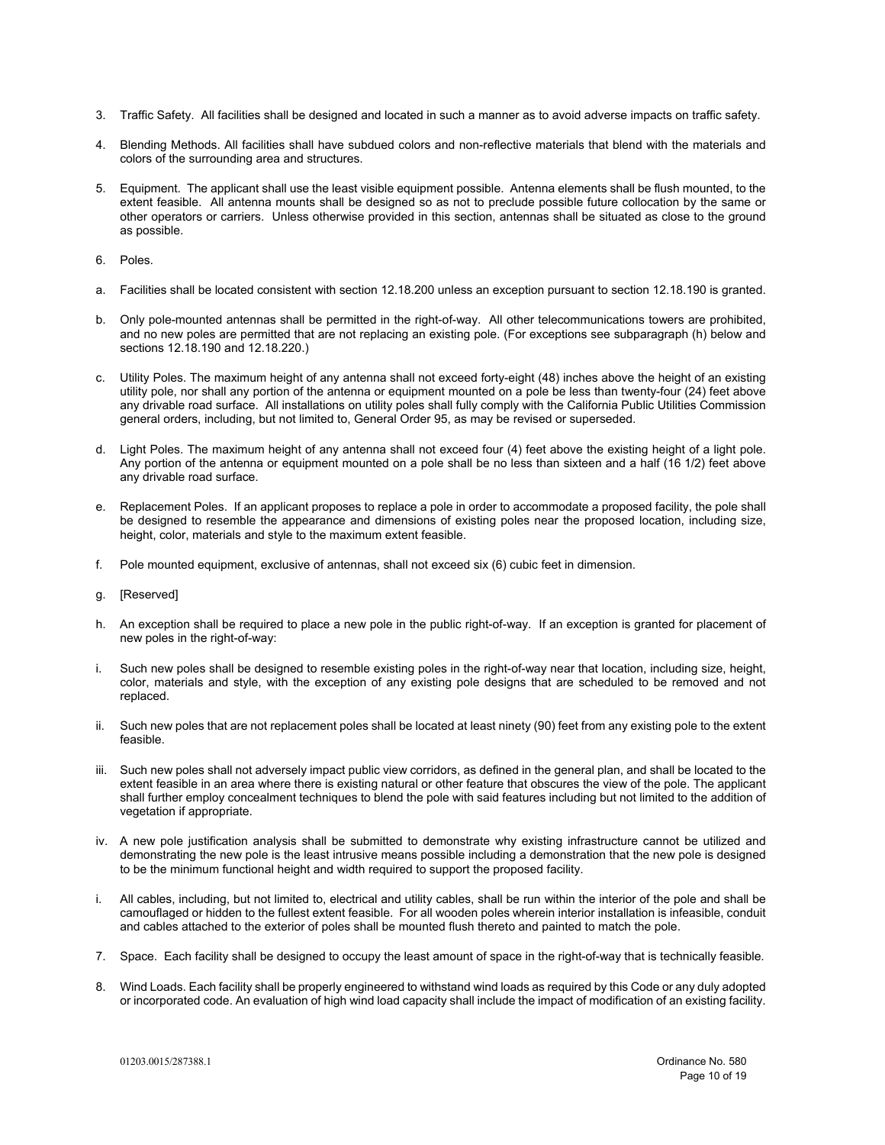- 3. Traffic Safety. All facilities shall be designed and located in such a manner as to avoid adverse impacts on traffic safety.
- 4. Blending Methods. All facilities shall have subdued colors and non-reflective materials that blend with the materials and colors of the surrounding area and structures.
- 5. Equipment. The applicant shall use the least visible equipment possible. Antenna elements shall be flush mounted, to the extent feasible. All antenna mounts shall be designed so as not to preclude possible future collocation by the same or other operators or carriers. Unless otherwise provided in this section, antennas shall be situated as close to the ground as possible.
- 6. Poles.
- a. Facilities shall be located consistent with section 12.18.200 unless an exception pursuant to section 12.18.190 is granted.
- b. Only pole-mounted antennas shall be permitted in the right-of-way. All other telecommunications towers are prohibited, and no new poles are permitted that are not replacing an existing pole. (For exceptions see subparagraph (h) below and sections 12.18.190 and 12.18.220.)
- c. Utility Poles. The maximum height of any antenna shall not exceed forty-eight (48) inches above the height of an existing utility pole, nor shall any portion of the antenna or equipment mounted on a pole be less than twenty-four (24) feet above any drivable road surface. All installations on utility poles shall fully comply with the California Public Utilities Commission general orders, including, but not limited to, General Order 95, as may be revised or superseded.
- d. Light Poles. The maximum height of any antenna shall not exceed four (4) feet above the existing height of a light pole. Any portion of the antenna or equipment mounted on a pole shall be no less than sixteen and a half (16 1/2) feet above any drivable road surface.
- e. Replacement Poles. If an applicant proposes to replace a pole in order to accommodate a proposed facility, the pole shall be designed to resemble the appearance and dimensions of existing poles near the proposed location, including size, height, color, materials and style to the maximum extent feasible.
- f. Pole mounted equipment, exclusive of antennas, shall not exceed six (6) cubic feet in dimension.
- g. [Reserved]
- h. An exception shall be required to place a new pole in the public right-of-way. If an exception is granted for placement of new poles in the right-of-way:
- i. Such new poles shall be designed to resemble existing poles in the right-of-way near that location, including size, height, color, materials and style, with the exception of any existing pole designs that are scheduled to be removed and not replaced.
- ii. Such new poles that are not replacement poles shall be located at least ninety (90) feet from any existing pole to the extent feasible.
- iii. Such new poles shall not adversely impact public view corridors, as defined in the general plan, and shall be located to the extent feasible in an area where there is existing natural or other feature that obscures the view of the pole. The applicant shall further employ concealment techniques to blend the pole with said features including but not limited to the addition of vegetation if appropriate.
- iv. A new pole justification analysis shall be submitted to demonstrate why existing infrastructure cannot be utilized and demonstrating the new pole is the least intrusive means possible including a demonstration that the new pole is designed to be the minimum functional height and width required to support the proposed facility.
- i. All cables, including, but not limited to, electrical and utility cables, shall be run within the interior of the pole and shall be camouflaged or hidden to the fullest extent feasible. For all wooden poles wherein interior installation is infeasible, conduit and cables attached to the exterior of poles shall be mounted flush thereto and painted to match the pole.
- 7. Space. Each facility shall be designed to occupy the least amount of space in the right-of-way that is technically feasible.
- 8. Wind Loads. Each facility shall be properly engineered to withstand wind loads as required by this Code or any duly adopted or incorporated code. An evaluation of high wind load capacity shall include the impact of modification of an existing facility.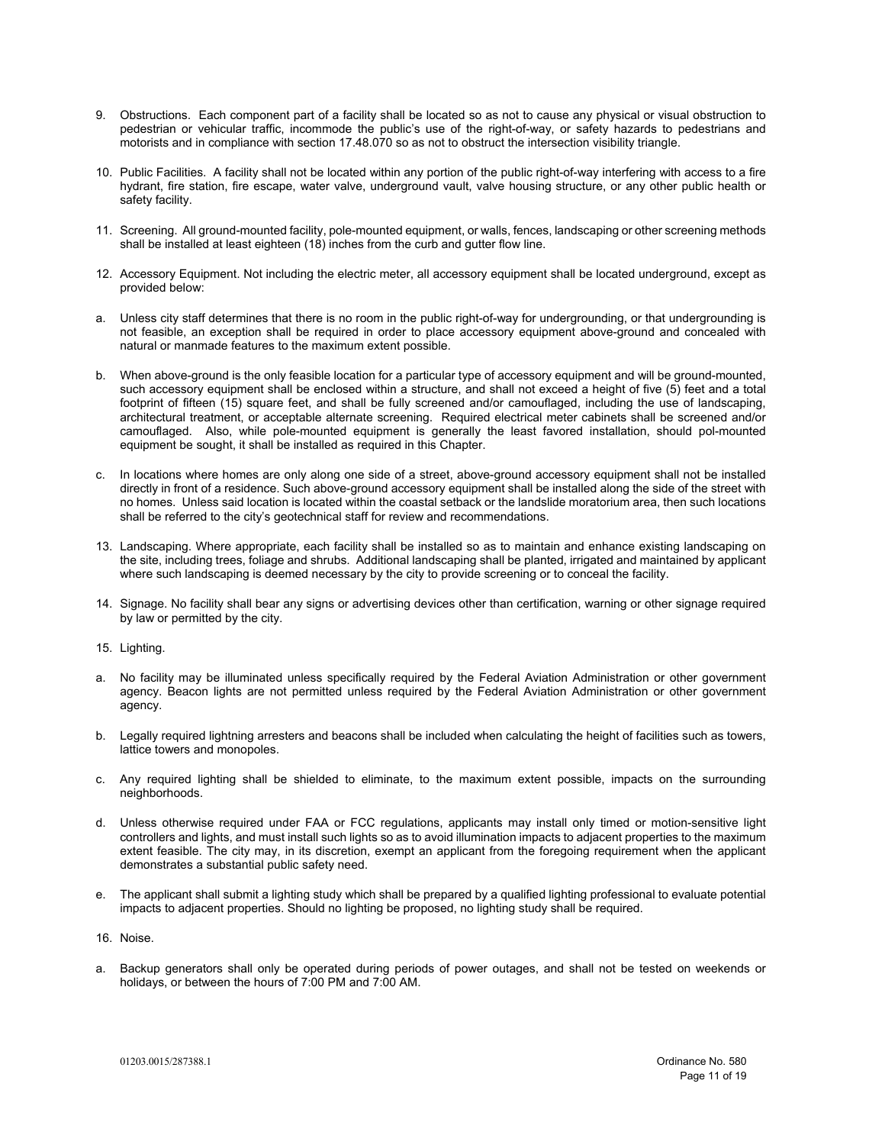- 9. Obstructions. Each component part of a facility shall be located so as not to cause any physical or visual obstruction to pedestrian or vehicular traffic, incommode the public's use of the right-of-way, or safety hazards to pedestrians and motorists and in compliance with section 17.48.070 so as not to obstruct the intersection visibility triangle.
- 10. Public Facilities. A facility shall not be located within any portion of the public right-of-way interfering with access to a fire hydrant, fire station, fire escape, water valve, underground vault, valve housing structure, or any other public health or safety facility.
- 11. Screening. All ground-mounted facility, pole-mounted equipment, or walls, fences, landscaping or other screening methods shall be installed at least eighteen (18) inches from the curb and gutter flow line.
- 12. Accessory Equipment. Not including the electric meter, all accessory equipment shall be located underground, except as provided below:
- a. Unless city staff determines that there is no room in the public right-of-way for undergrounding, or that undergrounding is not feasible, an exception shall be required in order to place accessory equipment above-ground and concealed with natural or manmade features to the maximum extent possible.
- b. When above-ground is the only feasible location for a particular type of accessory equipment and will be ground-mounted, such accessory equipment shall be enclosed within a structure, and shall not exceed a height of five (5) feet and a total footprint of fifteen (15) square feet, and shall be fully screened and/or camouflaged, including the use of landscaping, architectural treatment, or acceptable alternate screening. Required electrical meter cabinets shall be screened and/or camouflaged. Also, while pole-mounted equipment is generally the least favored installation, should pol-mounted equipment be sought, it shall be installed as required in this Chapter.
- c. In locations where homes are only along one side of a street, above-ground accessory equipment shall not be installed directly in front of a residence. Such above-ground accessory equipment shall be installed along the side of the street with no homes. Unless said location is located within the coastal setback or the landslide moratorium area, then such locations shall be referred to the city's geotechnical staff for review and recommendations.
- 13. Landscaping. Where appropriate, each facility shall be installed so as to maintain and enhance existing landscaping on the site, including trees, foliage and shrubs. Additional landscaping shall be planted, irrigated and maintained by applicant where such landscaping is deemed necessary by the city to provide screening or to conceal the facility.
- 14. Signage. No facility shall bear any signs or advertising devices other than certification, warning or other signage required by law or permitted by the city.
- 15. Lighting.
- a. No facility may be illuminated unless specifically required by the Federal Aviation Administration or other government agency. Beacon lights are not permitted unless required by the Federal Aviation Administration or other government agency.
- b. Legally required lightning arresters and beacons shall be included when calculating the height of facilities such as towers, lattice towers and monopoles.
- c. Any required lighting shall be shielded to eliminate, to the maximum extent possible, impacts on the surrounding neighborhoods.
- d. Unless otherwise required under FAA or FCC regulations, applicants may install only timed or motion-sensitive light controllers and lights, and must install such lights so as to avoid illumination impacts to adjacent properties to the maximum extent feasible. The city may, in its discretion, exempt an applicant from the foregoing requirement when the applicant demonstrates a substantial public safety need.
- e. The applicant shall submit a lighting study which shall be prepared by a qualified lighting professional to evaluate potential impacts to adjacent properties. Should no lighting be proposed, no lighting study shall be required.
- 16. Noise.
- a. Backup generators shall only be operated during periods of power outages, and shall not be tested on weekends or holidays, or between the hours of 7:00 PM and 7:00 AM.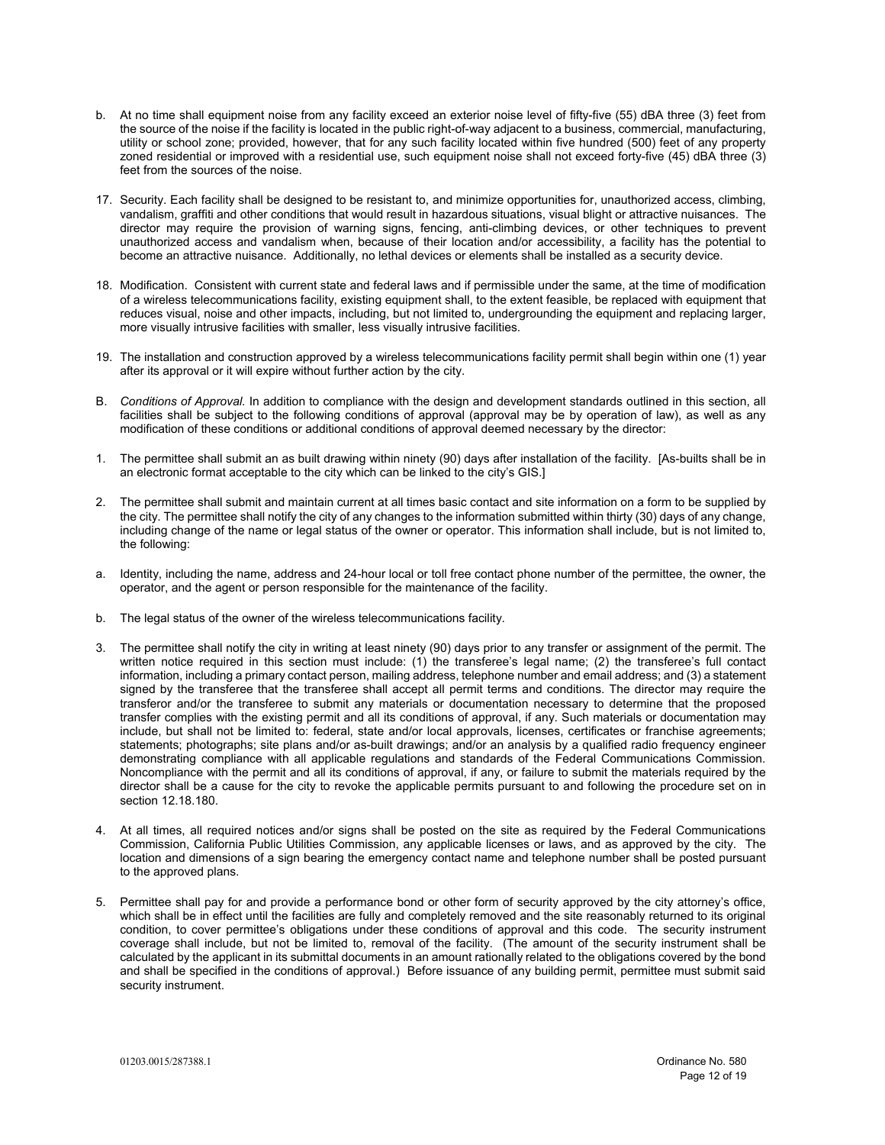- b. At no time shall equipment noise from any facility exceed an exterior noise level of fifty-five (55) dBA three (3) feet from the source of the noise if the facility is located in the public right-of-way adjacent to a business, commercial, manufacturing, utility or school zone; provided, however, that for any such facility located within five hundred (500) feet of any property zoned residential or improved with a residential use, such equipment noise shall not exceed forty-five (45) dBA three (3) feet from the sources of the noise.
- 17. Security. Each facility shall be designed to be resistant to, and minimize opportunities for, unauthorized access, climbing, vandalism, graffiti and other conditions that would result in hazardous situations, visual blight or attractive nuisances. The director may require the provision of warning signs, fencing, anti-climbing devices, or other techniques to prevent unauthorized access and vandalism when, because of their location and/or accessibility, a facility has the potential to become an attractive nuisance. Additionally, no lethal devices or elements shall be installed as a security device.
- 18. Modification. Consistent with current state and federal laws and if permissible under the same, at the time of modification of a wireless telecommunications facility, existing equipment shall, to the extent feasible, be replaced with equipment that reduces visual, noise and other impacts, including, but not limited to, undergrounding the equipment and replacing larger, more visually intrusive facilities with smaller, less visually intrusive facilities.
- 19. The installation and construction approved by a wireless telecommunications facility permit shall begin within one (1) year after its approval or it will expire without further action by the city.
- B. *Conditions of Approval.* In addition to compliance with the design and development standards outlined in this section, all facilities shall be subject to the following conditions of approval (approval may be by operation of law), as well as any modification of these conditions or additional conditions of approval deemed necessary by the director:
- 1. The permittee shall submit an as built drawing within ninety (90) days after installation of the facility. [As-builts shall be in an electronic format acceptable to the city which can be linked to the city's GIS.]
- 2. The permittee shall submit and maintain current at all times basic contact and site information on a form to be supplied by the city. The permittee shall notify the city of any changes to the information submitted within thirty (30) days of any change, including change of the name or legal status of the owner or operator. This information shall include, but is not limited to, the following:
- a. Identity, including the name, address and 24-hour local or toll free contact phone number of the permittee, the owner, the operator, and the agent or person responsible for the maintenance of the facility.
- b. The legal status of the owner of the wireless telecommunications facility.
- 3. The permittee shall notify the city in writing at least ninety (90) days prior to any transfer or assignment of the permit. The written notice required in this section must include: (1) the transferee's legal name; (2) the transferee's full contact information, including a primary contact person, mailing address, telephone number and email address; and (3) a statement signed by the transferee that the transferee shall accept all permit terms and conditions. The director may require the transferor and/or the transferee to submit any materials or documentation necessary to determine that the proposed transfer complies with the existing permit and all its conditions of approval, if any. Such materials or documentation may include, but shall not be limited to: federal, state and/or local approvals, licenses, certificates or franchise agreements; statements; photographs; site plans and/or as-built drawings; and/or an analysis by a qualified radio frequency engineer demonstrating compliance with all applicable regulations and standards of the Federal Communications Commission. Noncompliance with the permit and all its conditions of approval, if any, or failure to submit the materials required by the director shall be a cause for the city to revoke the applicable permits pursuant to and following the procedure set on in section 12.18.180.
- 4. At all times, all required notices and/or signs shall be posted on the site as required by the Federal Communications Commission, California Public Utilities Commission, any applicable licenses or laws, and as approved by the city. The location and dimensions of a sign bearing the emergency contact name and telephone number shall be posted pursuant to the approved plans.
- 5. Permittee shall pay for and provide a performance bond or other form of security approved by the city attorney's office, which shall be in effect until the facilities are fully and completely removed and the site reasonably returned to its original condition, to cover permittee's obligations under these conditions of approval and this code. The security instrument coverage shall include, but not be limited to, removal of the facility. (The amount of the security instrument shall be calculated by the applicant in its submittal documents in an amount rationally related to the obligations covered by the bond and shall be specified in the conditions of approval.) Before issuance of any building permit, permittee must submit said security instrument.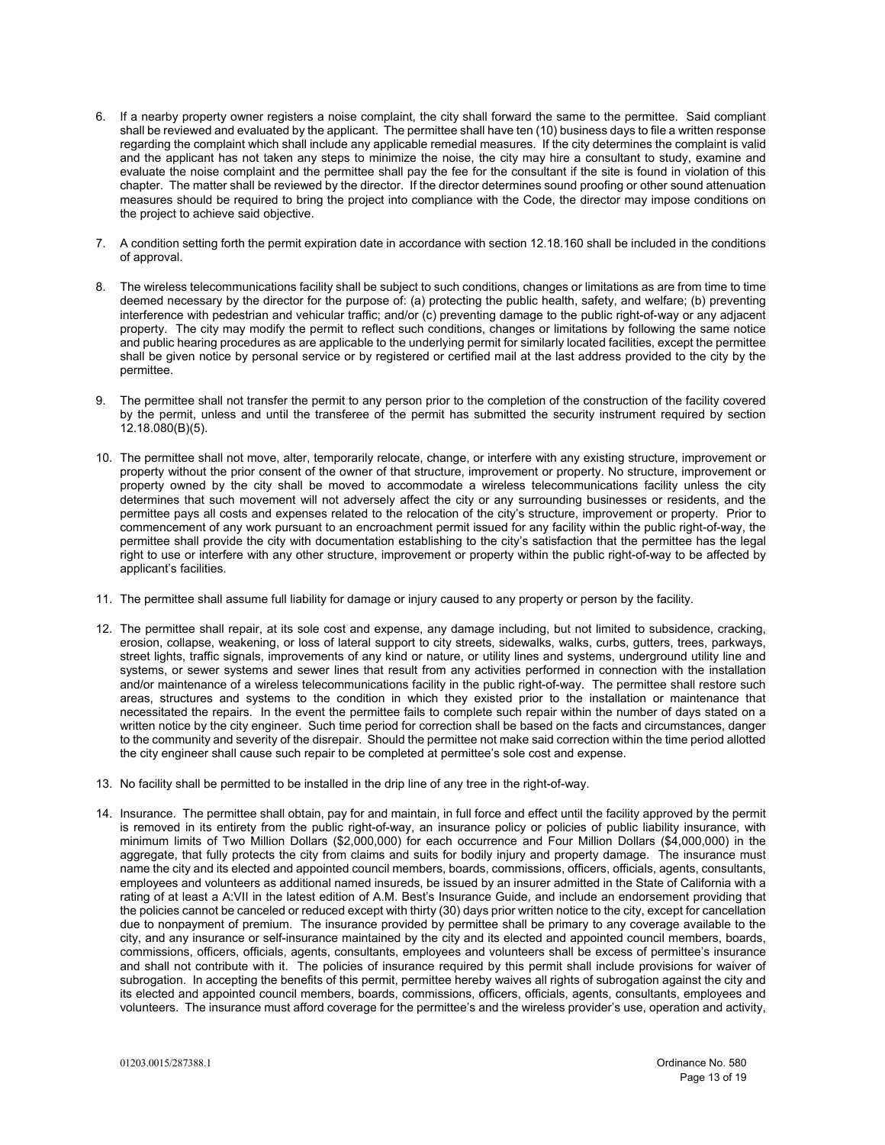- 6. If a nearby property owner registers a noise complaint, the city shall forward the same to the permittee. Said compliant shall be reviewed and evaluated by the applicant. The permittee shall have ten (10) business days to file a written response regarding the complaint which shall include any applicable remedial measures. If the city determines the complaint is valid and the applicant has not taken any steps to minimize the noise, the city may hire a consultant to study, examine and evaluate the noise complaint and the permittee shall pay the fee for the consultant if the site is found in violation of this chapter. The matter shall be reviewed by the director. If the director determines sound proofing or other sound attenuation measures should be required to bring the project into compliance with the Code, the director may impose conditions on the project to achieve said objective.
- 7. A condition setting forth the permit expiration date in accordance with section 12.18.160 shall be included in the conditions of approval.
- 8. The wireless telecommunications facility shall be subject to such conditions, changes or limitations as are from time to time deemed necessary by the director for the purpose of: (a) protecting the public health, safety, and welfare; (b) preventing interference with pedestrian and vehicular traffic; and/or (c) preventing damage to the public right-of-way or any adjacent property. The city may modify the permit to reflect such conditions, changes or limitations by following the same notice and public hearing procedures as are applicable to the underlying permit for similarly located facilities, except the permittee shall be given notice by personal service or by registered or certified mail at the last address provided to the city by the permittee.
- 9. The permittee shall not transfer the permit to any person prior to the completion of the construction of the facility covered by the permit, unless and until the transferee of the permit has submitted the security instrument required by section 12.18.080(B)(5).
- 10. The permittee shall not move, alter, temporarily relocate, change, or interfere with any existing structure, improvement or property without the prior consent of the owner of that structure, improvement or property. No structure, improvement or property owned by the city shall be moved to accommodate a wireless telecommunications facility unless the city determines that such movement will not adversely affect the city or any surrounding businesses or residents, and the permittee pays all costs and expenses related to the relocation of the city's structure, improvement or property. Prior to commencement of any work pursuant to an encroachment permit issued for any facility within the public right-of-way, the permittee shall provide the city with documentation establishing to the city's satisfaction that the permittee has the legal right to use or interfere with any other structure, improvement or property within the public right-of-way to be affected by applicant's facilities.
- 11. The permittee shall assume full liability for damage or injury caused to any property or person by the facility.
- 12. The permittee shall repair, at its sole cost and expense, any damage including, but not limited to subsidence, cracking, erosion, collapse, weakening, or loss of lateral support to city streets, sidewalks, walks, curbs, gutters, trees, parkways, street lights, traffic signals, improvements of any kind or nature, or utility lines and systems, underground utility line and systems, or sewer systems and sewer lines that result from any activities performed in connection with the installation and/or maintenance of a wireless telecommunications facility in the public right-of-way. The permittee shall restore such areas, structures and systems to the condition in which they existed prior to the installation or maintenance that necessitated the repairs. In the event the permittee fails to complete such repair within the number of days stated on a written notice by the city engineer. Such time period for correction shall be based on the facts and circumstances, danger to the community and severity of the disrepair. Should the permittee not make said correction within the time period allotted the city engineer shall cause such repair to be completed at permittee's sole cost and expense.
- 13. No facility shall be permitted to be installed in the drip line of any tree in the right-of-way.
- 14. Insurance. The permittee shall obtain, pay for and maintain, in full force and effect until the facility approved by the permit is removed in its entirety from the public right-of-way, an insurance policy or policies of public liability insurance, with minimum limits of Two Million Dollars (\$2,000,000) for each occurrence and Four Million Dollars (\$4,000,000) in the aggregate, that fully protects the city from claims and suits for bodily injury and property damage. The insurance must name the city and its elected and appointed council members, boards, commissions, officers, officials, agents, consultants, employees and volunteers as additional named insureds, be issued by an insurer admitted in the State of California with a rating of at least a A:VII in the latest edition of A.M. Best's Insurance Guide, and include an endorsement providing that the policies cannot be canceled or reduced except with thirty (30) days prior written notice to the city, except for cancellation due to nonpayment of premium. The insurance provided by permittee shall be primary to any coverage available to the city, and any insurance or self-insurance maintained by the city and its elected and appointed council members, boards, commissions, officers, officials, agents, consultants, employees and volunteers shall be excess of permittee's insurance and shall not contribute with it. The policies of insurance required by this permit shall include provisions for waiver of subrogation. In accepting the benefits of this permit, permittee hereby waives all rights of subrogation against the city and its elected and appointed council members, boards, commissions, officers, officials, agents, consultants, employees and volunteers. The insurance must afford coverage for the permittee's and the wireless provider's use, operation and activity,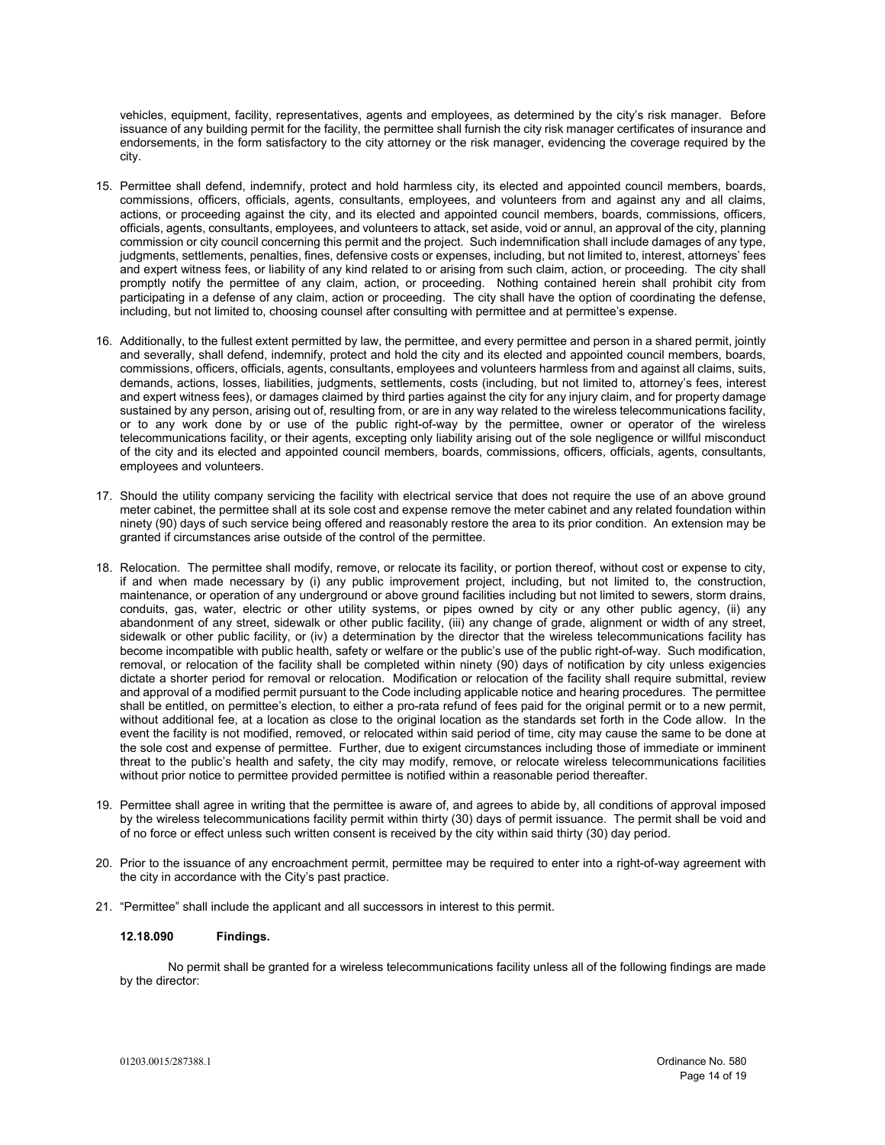vehicles, equipment, facility, representatives, agents and employees, as determined by the city's risk manager. Before issuance of any building permit for the facility, the permittee shall furnish the city risk manager certificates of insurance and endorsements, in the form satisfactory to the city attorney or the risk manager, evidencing the coverage required by the city.

- 15. Permittee shall defend, indemnify, protect and hold harmless city, its elected and appointed council members, boards, commissions, officers, officials, agents, consultants, employees, and volunteers from and against any and all claims, actions, or proceeding against the city, and its elected and appointed council members, boards, commissions, officers, officials, agents, consultants, employees, and volunteers to attack, set aside, void or annul, an approval of the city, planning commission or city council concerning this permit and the project. Such indemnification shall include damages of any type, judgments, settlements, penalties, fines, defensive costs or expenses, including, but not limited to, interest, attorneys' fees and expert witness fees, or liability of any kind related to or arising from such claim, action, or proceeding. The city shall promptly notify the permittee of any claim, action, or proceeding. Nothing contained herein shall prohibit city from participating in a defense of any claim, action or proceeding. The city shall have the option of coordinating the defense, including, but not limited to, choosing counsel after consulting with permittee and at permittee's expense.
- 16. Additionally, to the fullest extent permitted by law, the permittee, and every permittee and person in a shared permit, jointly and severally, shall defend, indemnify, protect and hold the city and its elected and appointed council members, boards, commissions, officers, officials, agents, consultants, employees and volunteers harmless from and against all claims, suits, demands, actions, losses, liabilities, judgments, settlements, costs (including, but not limited to, attorney's fees, interest and expert witness fees), or damages claimed by third parties against the city for any injury claim, and for property damage sustained by any person, arising out of, resulting from, or are in any way related to the wireless telecommunications facility, or to any work done by or use of the public right-of-way by the permittee, owner or operator of the wireless telecommunications facility, or their agents, excepting only liability arising out of the sole negligence or willful misconduct of the city and its elected and appointed council members, boards, commissions, officers, officials, agents, consultants, employees and volunteers.
- 17. Should the utility company servicing the facility with electrical service that does not require the use of an above ground meter cabinet, the permittee shall at its sole cost and expense remove the meter cabinet and any related foundation within ninety (90) days of such service being offered and reasonably restore the area to its prior condition. An extension may be granted if circumstances arise outside of the control of the permittee.
- 18. Relocation. The permittee shall modify, remove, or relocate its facility, or portion thereof, without cost or expense to city, if and when made necessary by (i) any public improvement project, including, but not limited to, the construction, maintenance, or operation of any underground or above ground facilities including but not limited to sewers, storm drains, conduits, gas, water, electric or other utility systems, or pipes owned by city or any other public agency, (ii) any abandonment of any street, sidewalk or other public facility, (iii) any change of grade, alignment or width of any street, sidewalk or other public facility, or (iv) a determination by the director that the wireless telecommunications facility has become incompatible with public health, safety or welfare or the public's use of the public right-of-way. Such modification, removal, or relocation of the facility shall be completed within ninety (90) days of notification by city unless exigencies dictate a shorter period for removal or relocation. Modification or relocation of the facility shall require submittal, review and approval of a modified permit pursuant to the Code including applicable notice and hearing procedures. The permittee shall be entitled, on permittee's election, to either a pro-rata refund of fees paid for the original permit or to a new permit, without additional fee, at a location as close to the original location as the standards set forth in the Code allow. In the event the facility is not modified, removed, or relocated within said period of time, city may cause the same to be done at the sole cost and expense of permittee. Further, due to exigent circumstances including those of immediate or imminent threat to the public's health and safety, the city may modify, remove, or relocate wireless telecommunications facilities without prior notice to permittee provided permittee is notified within a reasonable period thereafter.
- 19. Permittee shall agree in writing that the permittee is aware of, and agrees to abide by, all conditions of approval imposed by the wireless telecommunications facility permit within thirty (30) days of permit issuance. The permit shall be void and of no force or effect unless such written consent is received by the city within said thirty (30) day period.
- 20. Prior to the issuance of any encroachment permit, permittee may be required to enter into a right-of-way agreement with the city in accordance with the City's past practice.
- 21. "Permittee" shall include the applicant and all successors in interest to this permit.

## **12.18.090 Findings.**

No permit shall be granted for a wireless telecommunications facility unless all of the following findings are made by the director: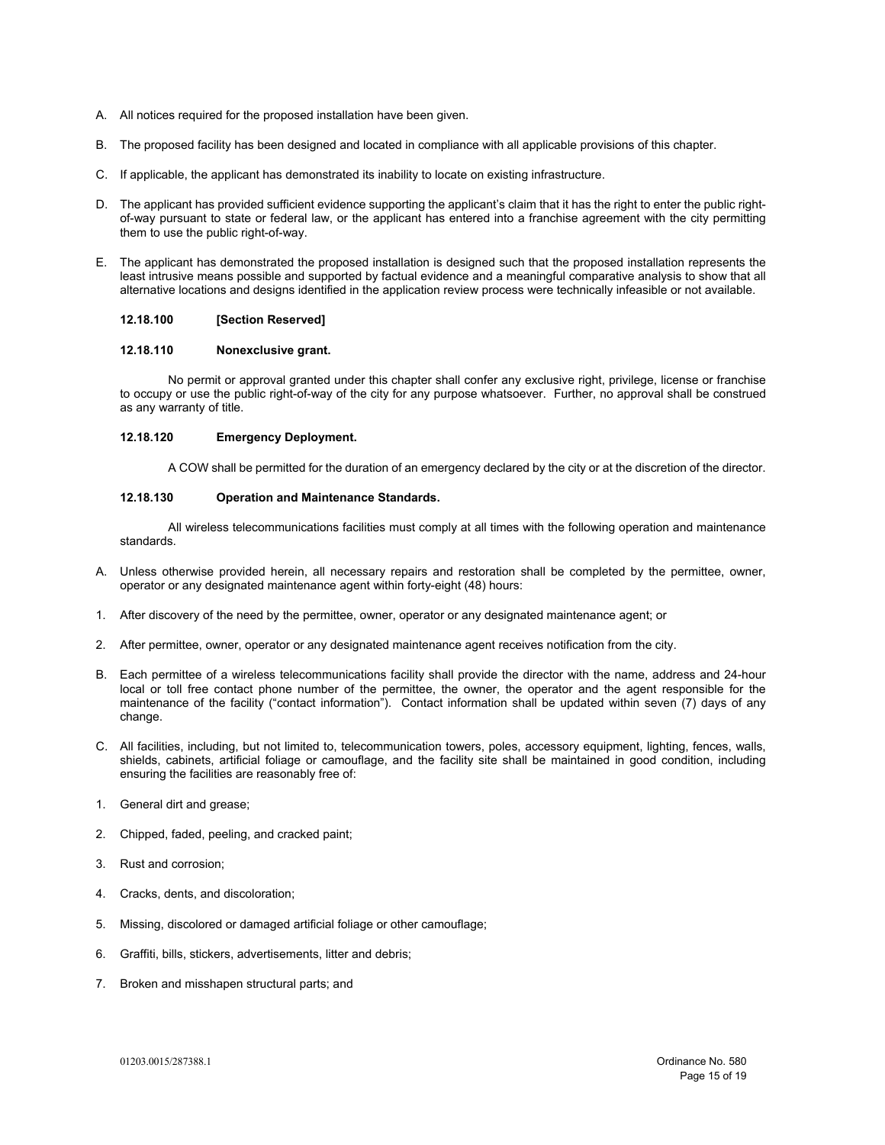- A. All notices required for the proposed installation have been given.
- B. The proposed facility has been designed and located in compliance with all applicable provisions of this chapter.
- C. If applicable, the applicant has demonstrated its inability to locate on existing infrastructure.
- D. The applicant has provided sufficient evidence supporting the applicant's claim that it has the right to enter the public rightof-way pursuant to state or federal law, or the applicant has entered into a franchise agreement with the city permitting them to use the public right-of-way.
- E. The applicant has demonstrated the proposed installation is designed such that the proposed installation represents the least intrusive means possible and supported by factual evidence and a meaningful comparative analysis to show that all alternative locations and designs identified in the application review process were technically infeasible or not available.

## **12.18.100 [Section Reserved]**

#### **12.18.110 Nonexclusive grant.**

No permit or approval granted under this chapter shall confer any exclusive right, privilege, license or franchise to occupy or use the public right-of-way of the city for any purpose whatsoever. Further, no approval shall be construed as any warranty of title.

#### **12.18.120 Emergency Deployment.**

A COW shall be permitted for the duration of an emergency declared by the city or at the discretion of the director.

## **12.18.130 Operation and Maintenance Standards.**

All wireless telecommunications facilities must comply at all times with the following operation and maintenance standards.

- A. Unless otherwise provided herein, all necessary repairs and restoration shall be completed by the permittee, owner, operator or any designated maintenance agent within forty-eight (48) hours:
- 1. After discovery of the need by the permittee, owner, operator or any designated maintenance agent; or
- 2. After permittee, owner, operator or any designated maintenance agent receives notification from the city.
- B. Each permittee of a wireless telecommunications facility shall provide the director with the name, address and 24-hour local or toll free contact phone number of the permittee, the owner, the operator and the agent responsible for the maintenance of the facility ("contact information"). Contact information shall be updated within seven (7) days of any change.
- C. All facilities, including, but not limited to, telecommunication towers, poles, accessory equipment, lighting, fences, walls, shields, cabinets, artificial foliage or camouflage, and the facility site shall be maintained in good condition, including ensuring the facilities are reasonably free of:
- 1. General dirt and grease;
- 2. Chipped, faded, peeling, and cracked paint;
- 3. Rust and corrosion;
- 4. Cracks, dents, and discoloration;
- 5. Missing, discolored or damaged artificial foliage or other camouflage;
- 6. Graffiti, bills, stickers, advertisements, litter and debris;
- 7. Broken and misshapen structural parts; and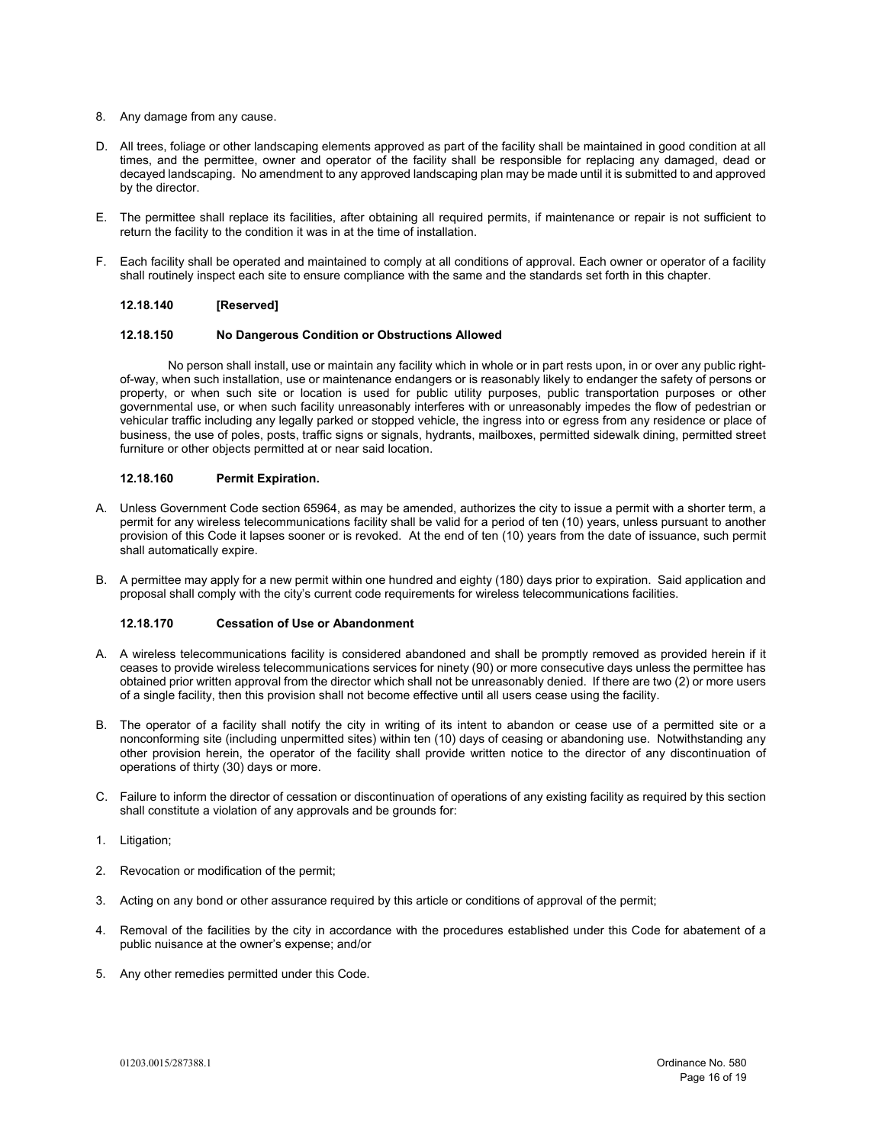- 8. Any damage from any cause.
- D. All trees, foliage or other landscaping elements approved as part of the facility shall be maintained in good condition at all times, and the permittee, owner and operator of the facility shall be responsible for replacing any damaged, dead or decayed landscaping. No amendment to any approved landscaping plan may be made until it is submitted to and approved by the director.
- E. The permittee shall replace its facilities, after obtaining all required permits, if maintenance or repair is not sufficient to return the facility to the condition it was in at the time of installation.
- F. Each facility shall be operated and maintained to comply at all conditions of approval. Each owner or operator of a facility shall routinely inspect each site to ensure compliance with the same and the standards set forth in this chapter.

# **12.18.140 [Reserved]**

#### **12.18.150 No Dangerous Condition or Obstructions Allowed**

No person shall install, use or maintain any facility which in whole or in part rests upon, in or over any public rightof-way, when such installation, use or maintenance endangers or is reasonably likely to endanger the safety of persons or property, or when such site or location is used for public utility purposes, public transportation purposes or other governmental use, or when such facility unreasonably interferes with or unreasonably impedes the flow of pedestrian or vehicular traffic including any legally parked or stopped vehicle, the ingress into or egress from any residence or place of business, the use of poles, posts, traffic signs or signals, hydrants, mailboxes, permitted sidewalk dining, permitted street furniture or other objects permitted at or near said location.

## **12.18.160 Permit Expiration.**

- A. Unless Government Code section 65964, as may be amended, authorizes the city to issue a permit with a shorter term, a permit for any wireless telecommunications facility shall be valid for a period of ten (10) years, unless pursuant to another provision of this Code it lapses sooner or is revoked. At the end of ten (10) years from the date of issuance, such permit shall automatically expire.
- B. A permittee may apply for a new permit within one hundred and eighty (180) days prior to expiration. Said application and proposal shall comply with the city's current code requirements for wireless telecommunications facilities.

# **12.18.170 Cessation of Use or Abandonment**

- A. A wireless telecommunications facility is considered abandoned and shall be promptly removed as provided herein if it ceases to provide wireless telecommunications services for ninety (90) or more consecutive days unless the permittee has obtained prior written approval from the director which shall not be unreasonably denied. If there are two (2) or more users of a single facility, then this provision shall not become effective until all users cease using the facility.
- B. The operator of a facility shall notify the city in writing of its intent to abandon or cease use of a permitted site or a nonconforming site (including unpermitted sites) within ten (10) days of ceasing or abandoning use. Notwithstanding any other provision herein, the operator of the facility shall provide written notice to the director of any discontinuation of operations of thirty (30) days or more.
- C. Failure to inform the director of cessation or discontinuation of operations of any existing facility as required by this section shall constitute a violation of any approvals and be grounds for:
- 1. Litigation;
- 2. Revocation or modification of the permit;
- 3. Acting on any bond or other assurance required by this article or conditions of approval of the permit;
- 4. Removal of the facilities by the city in accordance with the procedures established under this Code for abatement of a public nuisance at the owner's expense; and/or
- 5. Any other remedies permitted under this Code.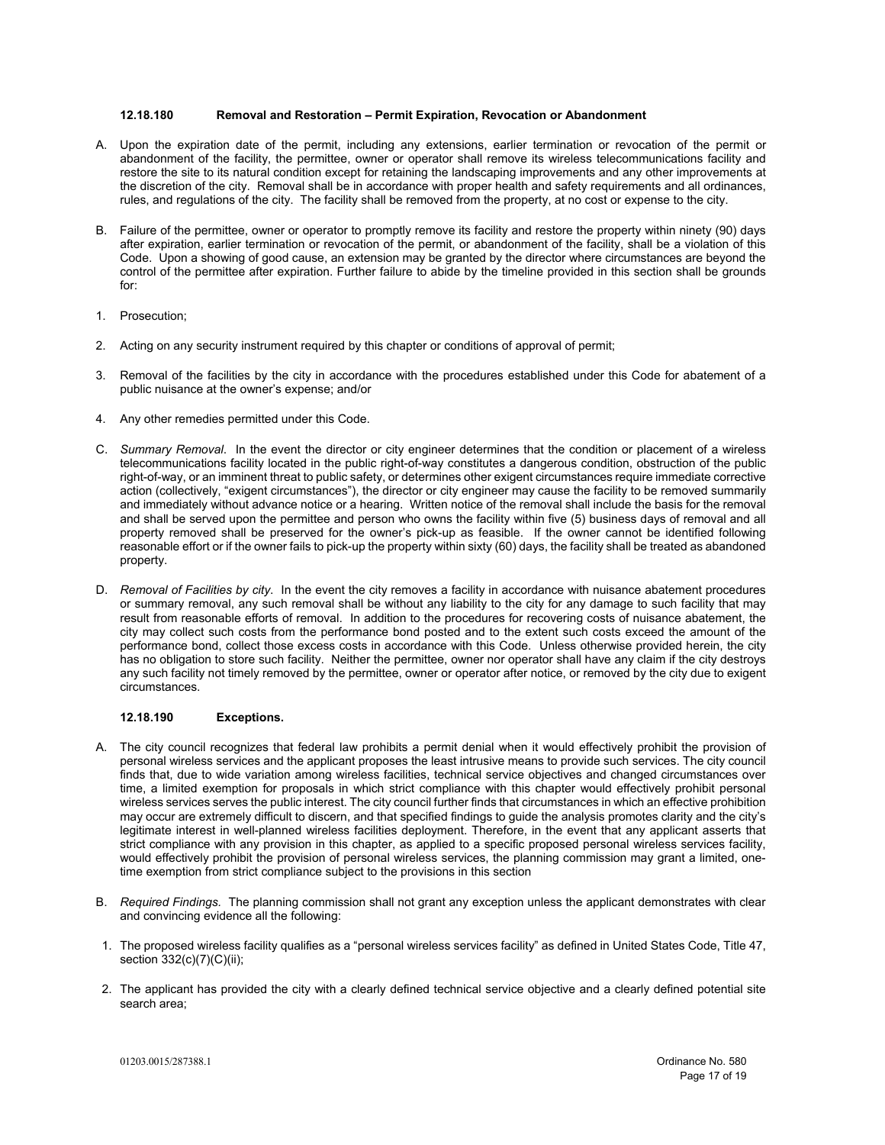#### **12.18.180 Removal and Restoration – Permit Expiration, Revocation or Abandonment**

- A. Upon the expiration date of the permit, including any extensions, earlier termination or revocation of the permit or abandonment of the facility, the permittee, owner or operator shall remove its wireless telecommunications facility and restore the site to its natural condition except for retaining the landscaping improvements and any other improvements at the discretion of the city. Removal shall be in accordance with proper health and safety requirements and all ordinances, rules, and regulations of the city. The facility shall be removed from the property, at no cost or expense to the city.
- B. Failure of the permittee, owner or operator to promptly remove its facility and restore the property within ninety (90) days after expiration, earlier termination or revocation of the permit, or abandonment of the facility, shall be a violation of this Code. Upon a showing of good cause, an extension may be granted by the director where circumstances are beyond the control of the permittee after expiration. Further failure to abide by the timeline provided in this section shall be grounds for:
- 1. Prosecution;
- 2. Acting on any security instrument required by this chapter or conditions of approval of permit;
- 3. Removal of the facilities by the city in accordance with the procedures established under this Code for abatement of a public nuisance at the owner's expense; and/or
- 4. Any other remedies permitted under this Code.
- C. *Summary Removal*. In the event the director or city engineer determines that the condition or placement of a wireless telecommunications facility located in the public right-of-way constitutes a dangerous condition, obstruction of the public right-of-way, or an imminent threat to public safety, or determines other exigent circumstances require immediate corrective action (collectively, "exigent circumstances"), the director or city engineer may cause the facility to be removed summarily and immediately without advance notice or a hearing. Written notice of the removal shall include the basis for the removal and shall be served upon the permittee and person who owns the facility within five (5) business days of removal and all property removed shall be preserved for the owner's pick-up as feasible. If the owner cannot be identified following reasonable effort or if the owner fails to pick-up the property within sixty (60) days, the facility shall be treated as abandoned property.
- D. *Removal of Facilities by city*. In the event the city removes a facility in accordance with nuisance abatement procedures or summary removal, any such removal shall be without any liability to the city for any damage to such facility that may result from reasonable efforts of removal. In addition to the procedures for recovering costs of nuisance abatement, the city may collect such costs from the performance bond posted and to the extent such costs exceed the amount of the performance bond, collect those excess costs in accordance with this Code. Unless otherwise provided herein, the city has no obligation to store such facility. Neither the permittee, owner nor operator shall have any claim if the city destroys any such facility not timely removed by the permittee, owner or operator after notice, or removed by the city due to exigent circumstances.

# **12.18.190 Exceptions.**

- A. The city council recognizes that federal law prohibits a permit denial when it would effectively prohibit the provision of personal wireless services and the applicant proposes the least intrusive means to provide such services. The city council finds that, due to wide variation among wireless facilities, technical service objectives and changed circumstances over time, a limited exemption for proposals in which strict compliance with this chapter would effectively prohibit personal wireless services serves the public interest. The city council further finds that circumstances in which an effective prohibition may occur are extremely difficult to discern, and that specified findings to guide the analysis promotes clarity and the city's legitimate interest in well-planned wireless facilities deployment. Therefore, in the event that any applicant asserts that strict compliance with any provision in this chapter, as applied to a specific proposed personal wireless services facility, would effectively prohibit the provision of personal wireless services, the planning commission may grant a limited, onetime exemption from strict compliance subject to the provisions in this section
- B. *Required Findings.* The planning commission shall not grant any exception unless the applicant demonstrates with clear and convincing evidence all the following:
- 1. The proposed wireless facility qualifies as a "personal wireless services facility" as defined in United States Code, Title 47, section 332(c)(7)(C)(ii);
- 2. The applicant has provided the city with a clearly defined technical service objective and a clearly defined potential site search area;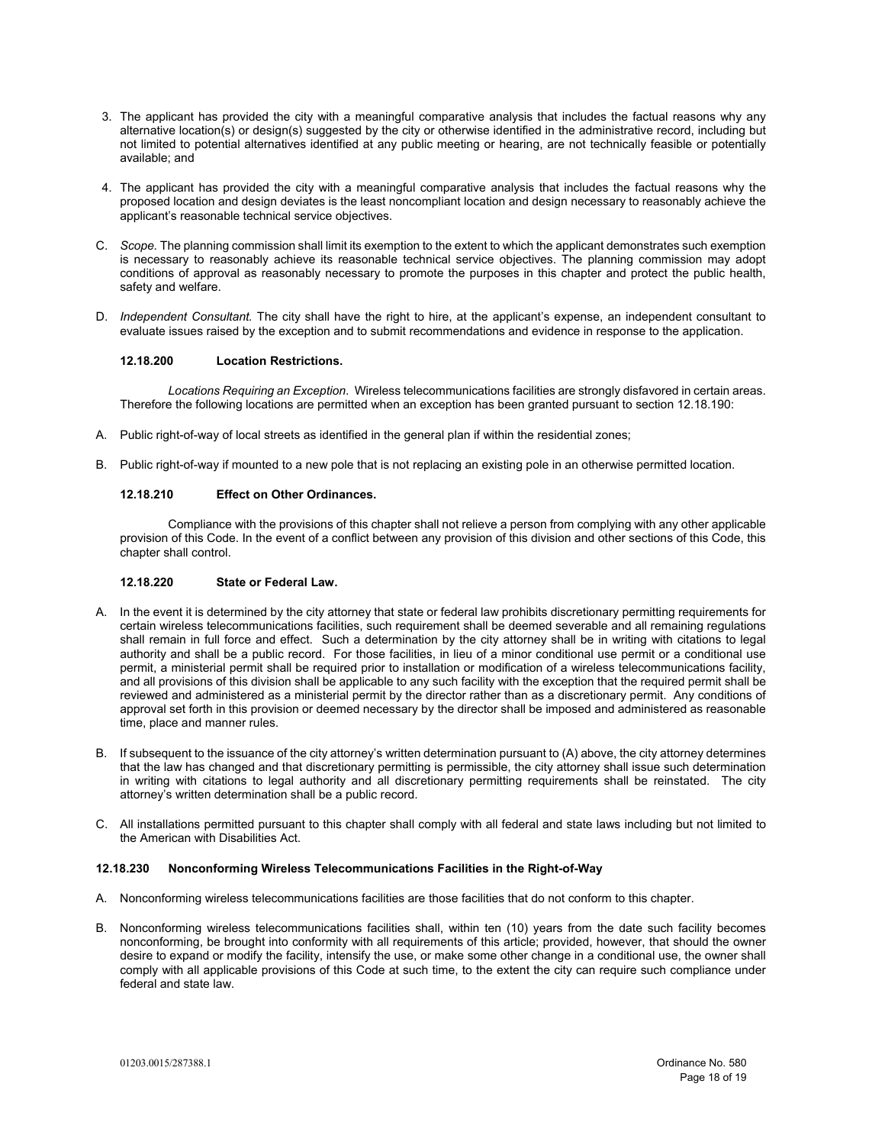- 3. The applicant has provided the city with a meaningful comparative analysis that includes the factual reasons why any alternative location(s) or design(s) suggested by the city or otherwise identified in the administrative record, including but not limited to potential alternatives identified at any public meeting or hearing, are not technically feasible or potentially available; and
- 4. The applicant has provided the city with a meaningful comparative analysis that includes the factual reasons why the proposed location and design deviates is the least noncompliant location and design necessary to reasonably achieve the applicant's reasonable technical service objectives.
- C. *Scope.* The planning commission shall limit its exemption to the extent to which the applicant demonstrates such exemption is necessary to reasonably achieve its reasonable technical service objectives. The planning commission may adopt conditions of approval as reasonably necessary to promote the purposes in this chapter and protect the public health, safety and welfare.
- D. *Independent Consultant.* The city shall have the right to hire, at the applicant's expense, an independent consultant to evaluate issues raised by the exception and to submit recommendations and evidence in response to the application.

## **12.18.200 Location Restrictions.**

*Locations Requiring an Exception*. Wireless telecommunications facilities are strongly disfavored in certain areas. Therefore the following locations are permitted when an exception has been granted pursuant to section 12.18.190:

- A. Public right-of-way of local streets as identified in the general plan if within the residential zones;
- B. Public right-of-way if mounted to a new pole that is not replacing an existing pole in an otherwise permitted location.

#### **12.18.210 Effect on Other Ordinances.**

Compliance with the provisions of this chapter shall not relieve a person from complying with any other applicable provision of this Code. In the event of a conflict between any provision of this division and other sections of this Code, this chapter shall control.

#### **12.18.220 State or Federal Law.**

- A. In the event it is determined by the city attorney that state or federal law prohibits discretionary permitting requirements for certain wireless telecommunications facilities, such requirement shall be deemed severable and all remaining regulations shall remain in full force and effect. Such a determination by the city attorney shall be in writing with citations to legal authority and shall be a public record. For those facilities, in lieu of a minor conditional use permit or a conditional use permit, a ministerial permit shall be required prior to installation or modification of a wireless telecommunications facility, and all provisions of this division shall be applicable to any such facility with the exception that the required permit shall be reviewed and administered as a ministerial permit by the director rather than as a discretionary permit. Any conditions of approval set forth in this provision or deemed necessary by the director shall be imposed and administered as reasonable time, place and manner rules.
- B. If subsequent to the issuance of the city attorney's written determination pursuant to (A) above, the city attorney determines that the law has changed and that discretionary permitting is permissible, the city attorney shall issue such determination in writing with citations to legal authority and all discretionary permitting requirements shall be reinstated. The city attorney's written determination shall be a public record.
- C. All installations permitted pursuant to this chapter shall comply with all federal and state laws including but not limited to the American with Disabilities Act.

#### **12.18.230 Nonconforming Wireless Telecommunications Facilities in the Right-of-Way**

- A. Nonconforming wireless telecommunications facilities are those facilities that do not conform to this chapter.
- B. Nonconforming wireless telecommunications facilities shall, within ten (10) years from the date such facility becomes nonconforming, be brought into conformity with all requirements of this article; provided, however, that should the owner desire to expand or modify the facility, intensify the use, or make some other change in a conditional use, the owner shall comply with all applicable provisions of this Code at such time, to the extent the city can require such compliance under federal and state law.